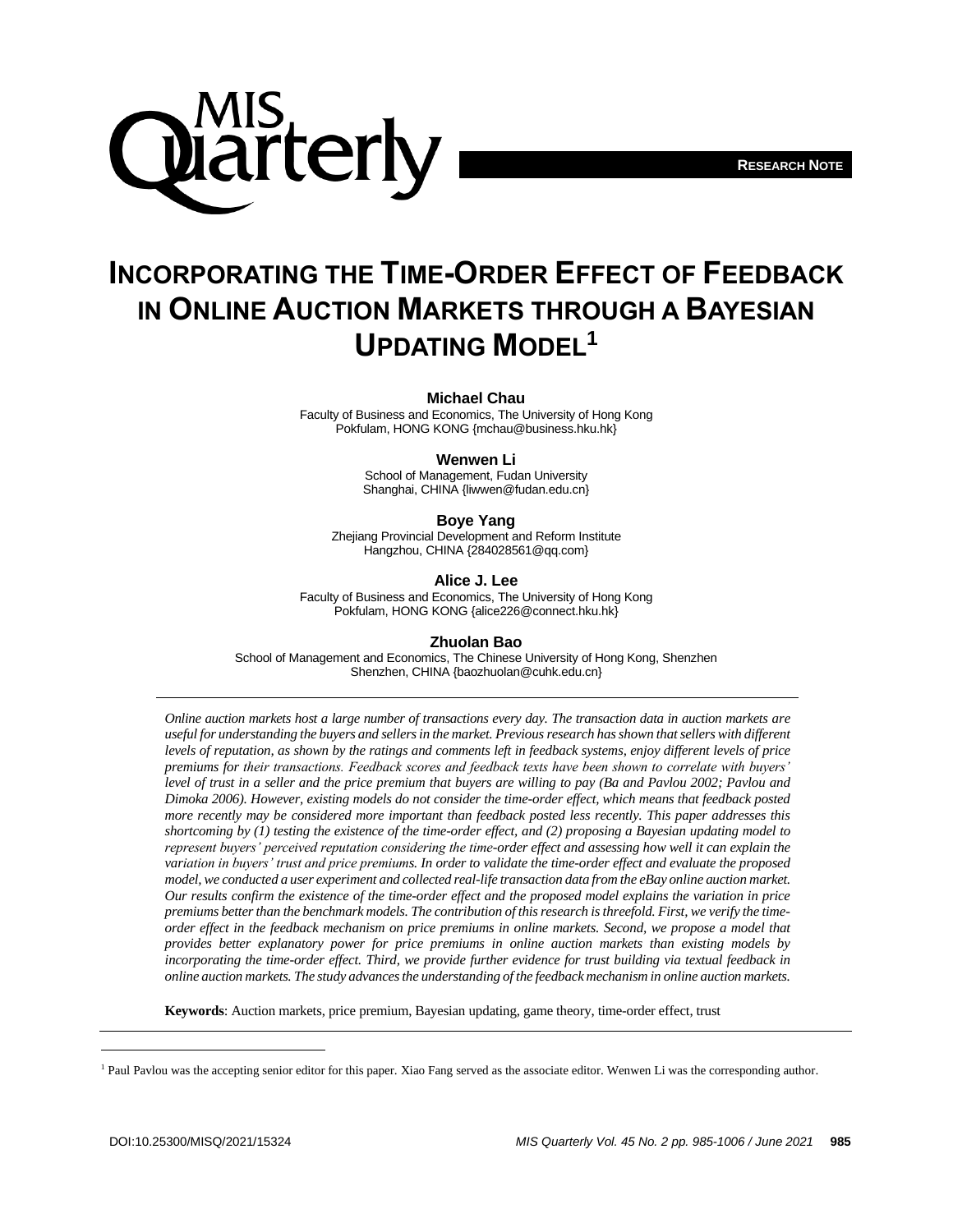



# **INCORPORATING THE TIME-ORDER EFFECT OF FEEDBACK IN ONLINE AUCTION MARKETS THROUGH A BAYESIAN UPDATING MODEL<sup>1</sup>**

#### **Michael Chau**

Faculty of Business and Economics, The University of Hong Kong Pokfulam, HONG KONG {mchau@business.hku.hk}

#### **Wenwen Li**

School of Management, Fudan University Shanghai, CHINA {liwwen@fudan.edu.cn}

**Boye Yang**

Zhejiang Provincial Development and Reform Institute Hangzhou, CHINA {284028561@qq.com}

**Alice J. Lee**

Faculty of Business and Economics, The University of Hong Kong Pokfulam, HONG KONG {alice226@connect.hku.hk}

**Zhuolan Bao**

School of Management and Economics, The Chinese University of Hong Kong, Shenzhen Shenzhen, CHINA {baozhuolan@cuhk.edu.cn}

*Online auction markets host a large number of transactions every day. The transaction data in auction markets are useful for understanding the buyers and sellers in the market. Previous research has shown that sellers with different levels of reputation, as shown by the ratings and comments left in feedback systems, enjoy different levels of price premiums for their transactions. Feedback scores and feedback texts have been shown to correlate with buyers' level of trust in a seller and the price premium that buyers are willing to pay (Ba and Pavlou 2002; Pavlou and Dimoka 2006). However, existing models do not consider the time-order effect, which means that feedback posted more recently may be considered more important than feedback posted less recently. This paper addresses this shortcoming by (1) testing the existence of the time-order effect, and (2) proposing a Bayesian updating model to represent buyers' perceived reputation considering the time-order effect and assessing how well it can explain the variation in buyers' trust and price premiums. In order to validate the time-order effect and evaluate the proposed model, we conducted a user experiment and collected real-life transaction data from the eBay online auction market. Our results confirm the existence of the time-order effect and the proposed model explains the variation in price premiums better than the benchmark models. The contribution of this research is threefold. First, we verify the timeorder effect in the feedback mechanism on price premiums in online markets. Second, we propose a model that provides better explanatory power for price premiums in online auction markets than existing models by*  incorporating the time-order effect. Third, we provide further evidence for trust building via textual feedback in *online auction markets. The study advances the understanding of the feedback mechanism in online auction markets.*

**Keywords**: Auction markets, price premium, Bayesian updating, game theory, time-order effect, trust

<sup>&</sup>lt;sup>1</sup> Paul Pavlou was the accepting senior editor for this paper. Xiao Fang served as the associate editor. Wenwen Li was the corresponding author.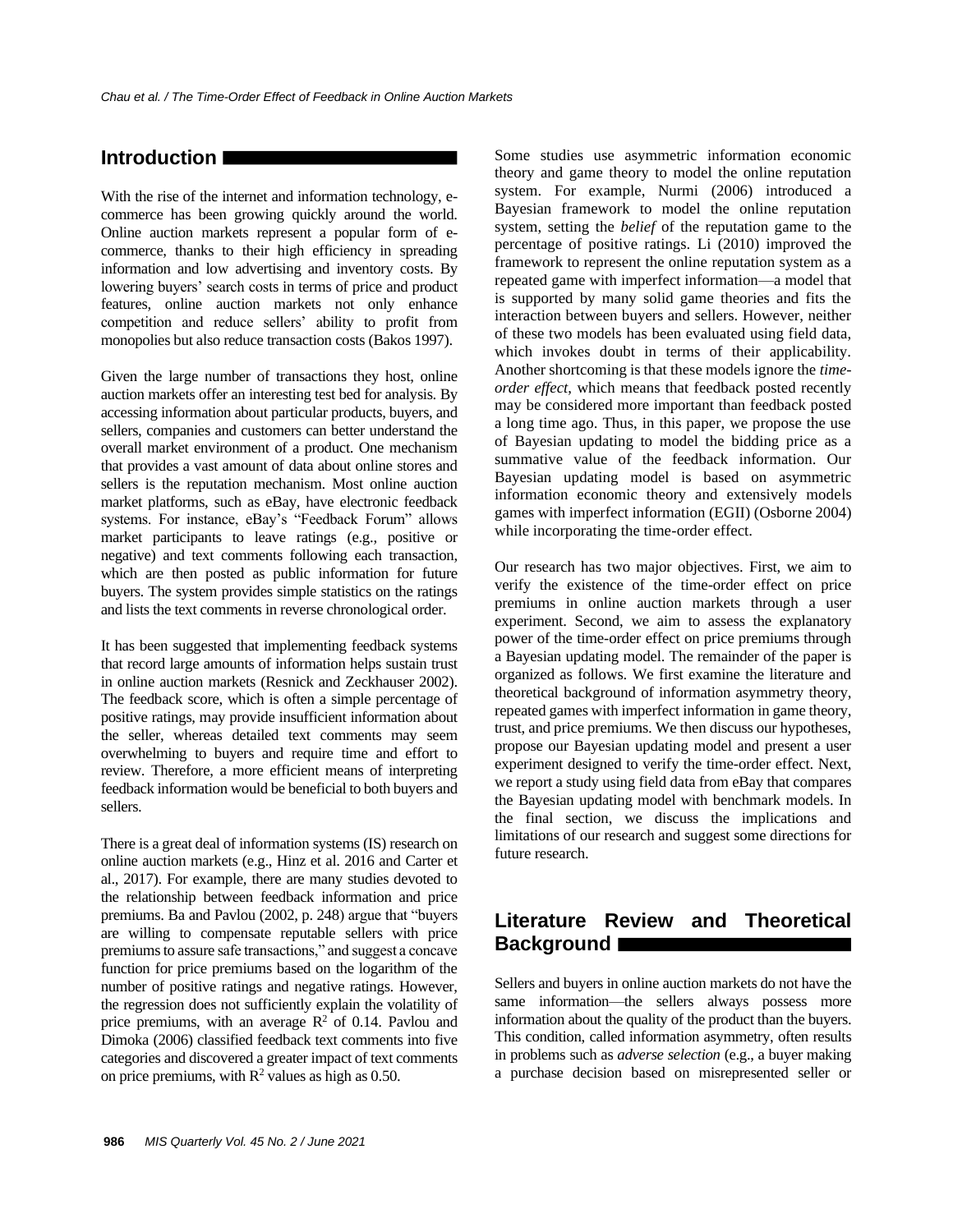# **Introduction**

With the rise of the internet and information technology, ecommerce has been growing quickly around the world. Online auction markets represent a popular form of ecommerce, thanks to their high efficiency in spreading information and low advertising and inventory costs. By lowering buyers' search costs in terms of price and product features, online auction markets not only enhance competition and reduce sellers' ability to profit from monopolies but also reduce transaction costs (Bakos 1997).

Given the large number of transactions they host, online auction markets offer an interesting test bed for analysis. By accessing information about particular products, buyers, and sellers, companies and customers can better understand the overall market environment of a product. One mechanism that provides a vast amount of data about online stores and sellers is the reputation mechanism. Most online auction market platforms, such as eBay, have electronic feedback systems. For instance, eBay's "Feedback Forum" allows market participants to leave ratings (e.g., positive or negative) and text comments following each transaction, which are then posted as public information for future buyers. The system provides simple statistics on the ratings and lists the text comments in reverse chronological order.

It has been suggested that implementing feedback systems that record large amounts of information helps sustain trust in online auction markets (Resnick and Zeckhauser 2002). The feedback score, which is often a simple percentage of positive ratings, may provide insufficient information about the seller, whereas detailed text comments may seem overwhelming to buyers and require time and effort to review. Therefore, a more efficient means of interpreting feedback information would be beneficial to both buyers and sellers.

There is a great deal of information systems (IS) research on online auction markets (e.g., Hinz et al. 2016 and Carter et al., 2017). For example, there are many studies devoted to the relationship between feedback information and price premiums. Ba and Pavlou (2002, p. 248) argue that "buyers are willing to compensate reputable sellers with price premiums to assure safe transactions," and suggest a concave function for price premiums based on the logarithm of the number of positive ratings and negative ratings. However, the regression does not sufficiently explain the volatility of price premiums, with an average  $\mathbb{R}^2$  of 0.14. Pavlou and Dimoka (2006) classified feedback text comments into five categories and discovered a greater impact of text comments on price premiums, with  $R^2$  values as high as 0.50.

Some studies use asymmetric information economic theory and game theory to model the online reputation system. For example, Nurmi (2006) introduced a Bayesian framework to model the online reputation system, setting the *belief* of the reputation game to the percentage of positive ratings. Li (2010) improved the framework to represent the online reputation system as a repeated game with imperfect information—a model that is supported by many solid game theories and fits the interaction between buyers and sellers. However, neither of these two models has been evaluated using field data, which invokes doubt in terms of their applicability. Another shortcoming is that these models ignore the *timeorder effect*, which means that feedback posted recently may be considered more important than feedback posted a long time ago. Thus, in this paper, we propose the use of Bayesian updating to model the bidding price as a summative value of the feedback information. Our Bayesian updating model is based on asymmetric information economic theory and extensively models games with imperfect information (EGII) (Osborne 2004) while incorporating the time-order effect.

Our research has two major objectives. First, we aim to verify the existence of the time-order effect on price premiums in online auction markets through a user experiment. Second, we aim to assess the explanatory power of the time-order effect on price premiums through a Bayesian updating model. The remainder of the paper is organized as follows. We first examine the literature and theoretical background of information asymmetry theory, repeated games with imperfect information in game theory, trust, and price premiums. We then discuss our hypotheses, propose our Bayesian updating model and present a user experiment designed to verify the time-order effect. Next, we report a study using field data from eBay that compares the Bayesian updating model with benchmark models. In the final section, we discuss the implications and limitations of our research and suggest some directions for future research.

# **Literature Review and Theoretical Background**

Sellers and buyers in online auction markets do not have the same information—the sellers always possess more information about the quality of the product than the buyers. This condition, called information asymmetry, often results in problems such as *adverse selection* (e.g., a buyer making a purchase decision based on misrepresented seller or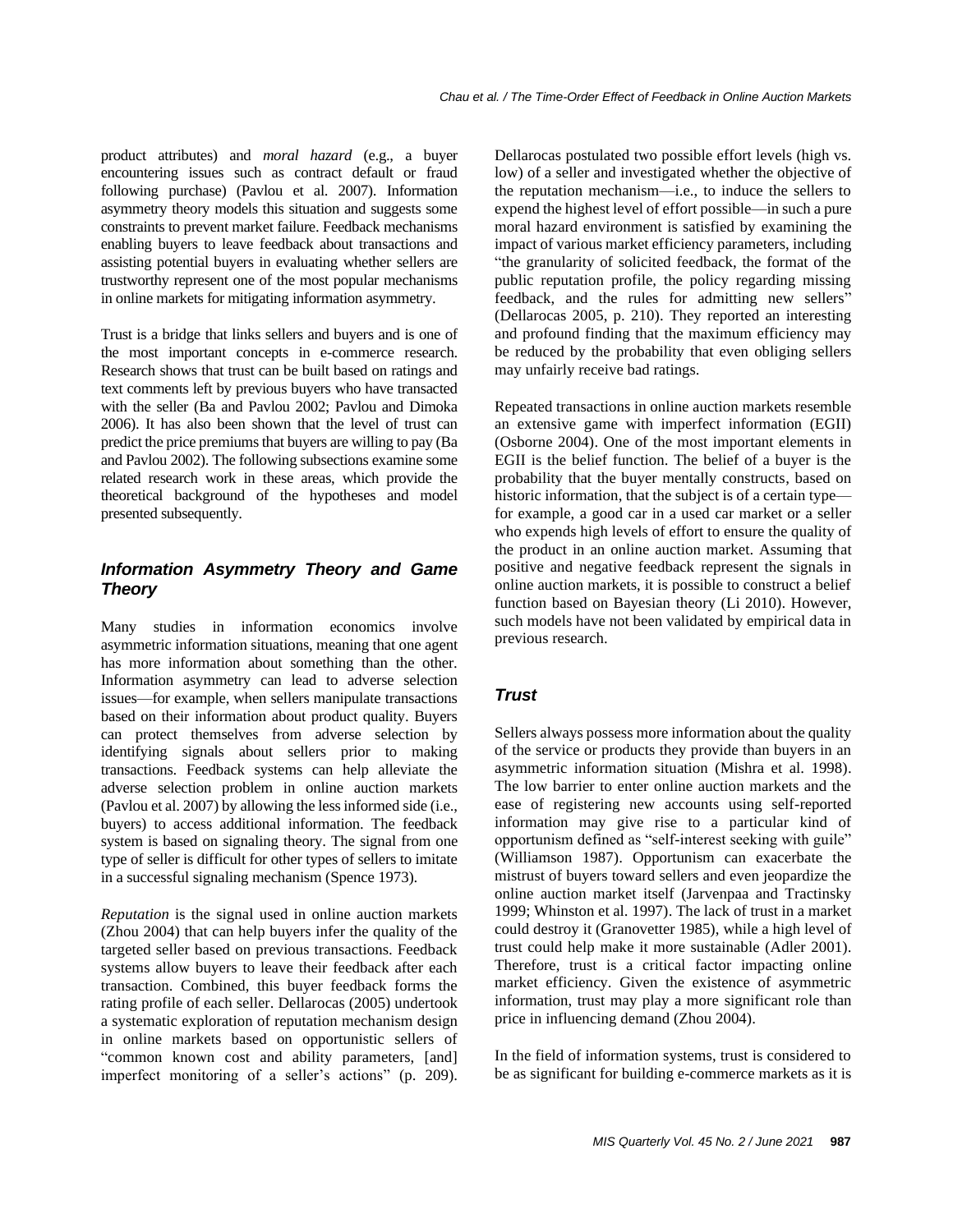product attributes) and *moral hazard* (e.g., a buyer encountering issues such as contract default or fraud following purchase) (Pavlou et al. 2007). Information asymmetry theory models this situation and suggests some constraints to prevent market failure. Feedback mechanisms enabling buyers to leave feedback about transactions and assisting potential buyers in evaluating whether sellers are trustworthy represent one of the most popular mechanisms in online markets for mitigating information asymmetry.

Trust is a bridge that links sellers and buyers and is one of the most important concepts in e-commerce research. Research shows that trust can be built based on ratings and text comments left by previous buyers who have transacted with the seller (Ba and Pavlou 2002; Pavlou and Dimoka 2006). It has also been shown that the level of trust can predict the price premiums that buyers are willing to pay (Ba and Pavlou 2002). The following subsections examine some related research work in these areas, which provide the theoretical background of the hypotheses and model presented subsequently.

# *Information Asymmetry Theory and Game Theory*

Many studies in information economics involve asymmetric information situations, meaning that one agent has more information about something than the other. Information asymmetry can lead to adverse selection issues—for example, when sellers manipulate transactions based on their information about product quality. Buyers can protect themselves from adverse selection by identifying signals about sellers prior to making transactions. Feedback systems can help alleviate the adverse selection problem in online auction markets (Pavlou et al. 2007) by allowing the less informed side (i.e., buyers) to access additional information. The feedback system is based on signaling theory. The signal from one type of seller is difficult for other types of sellers to imitate in a successful signaling mechanism (Spence 1973).

*Reputation* is the signal used in online auction markets (Zhou 2004) that can help buyers infer the quality of the targeted seller based on previous transactions. Feedback systems allow buyers to leave their feedback after each transaction. Combined, this buyer feedback forms the rating profile of each seller. Dellarocas (2005) undertook a systematic exploration of reputation mechanism design in online markets based on opportunistic sellers of "common known cost and ability parameters, [and] imperfect monitoring of a seller's actions" (p. 209).

Dellarocas postulated two possible effort levels (high vs. low) of a seller and investigated whether the objective of the reputation mechanism—i.e., to induce the sellers to expend the highest level of effort possible—in such a pure moral hazard environment is satisfied by examining the impact of various market efficiency parameters, including "the granularity of solicited feedback, the format of the public reputation profile, the policy regarding missing feedback, and the rules for admitting new sellers" (Dellarocas 2005, p. 210). They reported an interesting and profound finding that the maximum efficiency may be reduced by the probability that even obliging sellers may unfairly receive bad ratings.

Repeated transactions in online auction markets resemble an extensive game with imperfect information (EGII) (Osborne 2004). One of the most important elements in EGII is the belief function. The belief of a buyer is the probability that the buyer mentally constructs, based on historic information, that the subject is of a certain type for example, a good car in a used car market or a seller who expends high levels of effort to ensure the quality of the product in an online auction market. Assuming that positive and negative feedback represent the signals in online auction markets, it is possible to construct a belief function based on Bayesian theory (Li 2010). However, such models have not been validated by empirical data in previous research.

# *Trust*

Sellers always possess more information about the quality of the service or products they provide than buyers in an asymmetric information situation (Mishra et al. 1998). The low barrier to enter online auction markets and the ease of registering new accounts using self-reported information may give rise to a particular kind of opportunism defined as "self-interest seeking with guile" (Williamson 1987). Opportunism can exacerbate the mistrust of buyers toward sellers and even jeopardize the online auction market itself (Jarvenpaa and Tractinsky 1999; Whinston et al. 1997). The lack of trust in a market could destroy it (Granovetter 1985), while a high level of trust could help make it more sustainable (Adler 2001). Therefore, trust is a critical factor impacting online market efficiency. Given the existence of asymmetric information, trust may play a more significant role than price in influencing demand (Zhou 2004).

In the field of information systems, trust is considered to be as significant for building e-commerce markets as it is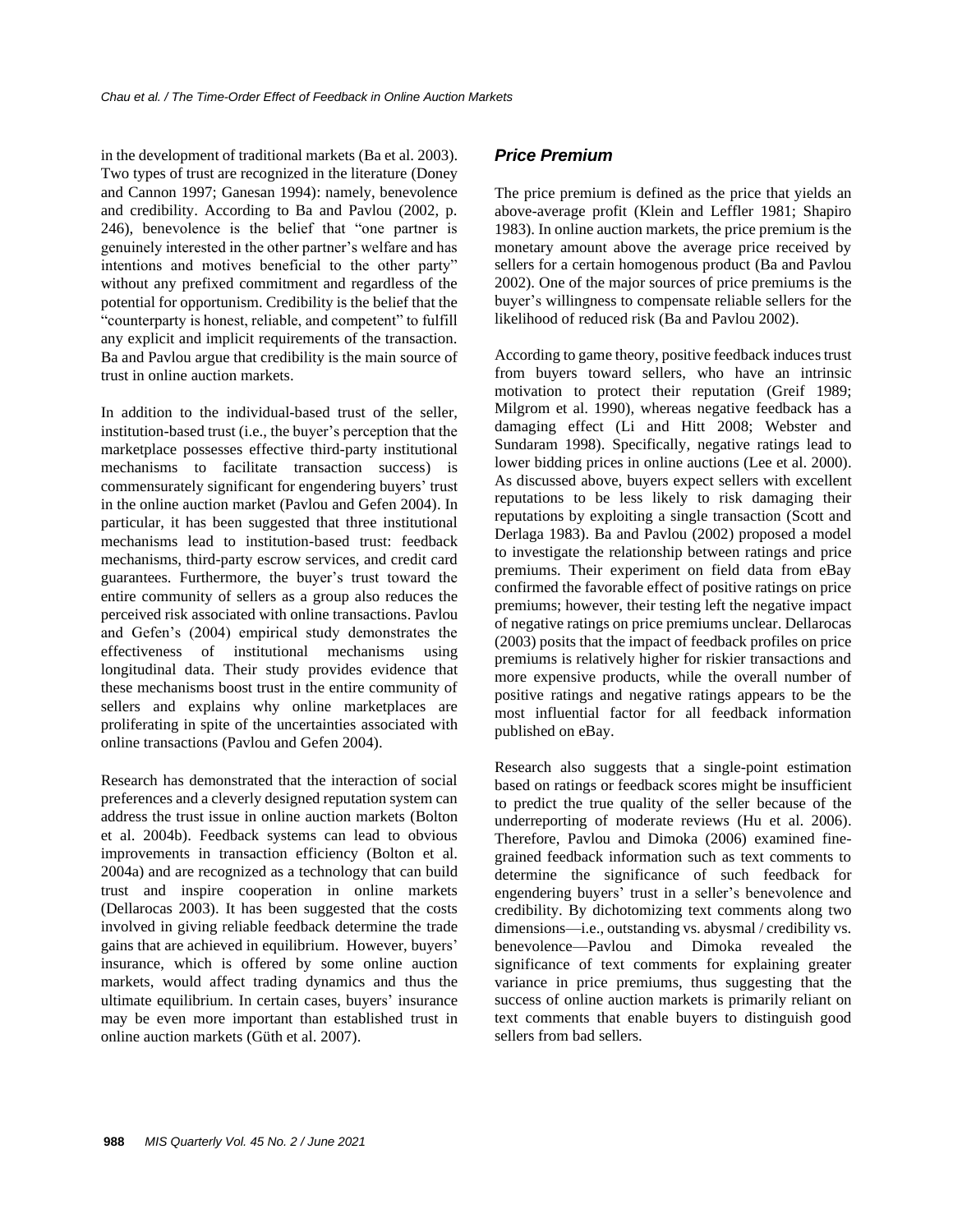in the development of traditional markets (Ba et al. 2003). Two types of trust are recognized in the literature (Doney and Cannon 1997; Ganesan 1994): namely, benevolence and credibility. According to Ba and Pavlou (2002, p. 246), benevolence is the belief that "one partner is genuinely interested in the other partner's welfare and has intentions and motives beneficial to the other party" without any prefixed commitment and regardless of the potential for opportunism. Credibility is the belief that the "counterparty is honest, reliable, and competent" to fulfill any explicit and implicit requirements of the transaction. Ba and Pavlou argue that credibility is the main source of trust in online auction markets.

In addition to the individual-based trust of the seller, institution-based trust (i.e., the buyer's perception that the marketplace possesses effective third-party institutional mechanisms to facilitate transaction success) is commensurately significant for engendering buyers' trust in the online auction market (Pavlou and Gefen 2004). In particular, it has been suggested that three institutional mechanisms lead to institution-based trust: feedback mechanisms, third-party escrow services, and credit card guarantees. Furthermore, the buyer's trust toward the entire community of sellers as a group also reduces the perceived risk associated with online transactions. Pavlou and Gefen's (2004) empirical study demonstrates the effectiveness of institutional mechanisms using longitudinal data. Their study provides evidence that these mechanisms boost trust in the entire community of sellers and explains why online marketplaces are proliferating in spite of the uncertainties associated with online transactions (Pavlou and Gefen 2004).

Research has demonstrated that the interaction of social preferences and a cleverly designed reputation system can address the trust issue in online auction markets (Bolton et al. 2004b). Feedback systems can lead to obvious improvements in transaction efficiency (Bolton et al. 2004a) and are recognized as a technology that can build trust and inspire cooperation in online markets (Dellarocas 2003). It has been suggested that the costs involved in giving reliable feedback determine the trade gains that are achieved in equilibrium. However, buyers' insurance, which is offered by some online auction markets, would affect trading dynamics and thus the ultimate equilibrium. In certain cases, buyers' insurance may be even more important than established trust in online auction markets (Güth et al. 2007).

## *Price Premium*

The price premium is defined as the price that yields an above-average profit (Klein and Leffler 1981; Shapiro 1983). In online auction markets, the price premium is the monetary amount above the average price received by sellers for a certain homogenous product (Ba and Pavlou 2002). One of the major sources of price premiums is the buyer's willingness to compensate reliable sellers for the likelihood of reduced risk (Ba and Pavlou 2002).

According to game theory, positive feedback induces trust from buyers toward sellers, who have an intrinsic motivation to protect their reputation (Greif 1989; Milgrom et al. 1990), whereas negative feedback has a damaging effect (Li and Hitt 2008; Webster and Sundaram 1998). Specifically, negative ratings lead to lower bidding prices in online auctions (Lee et al. 2000). As discussed above, buyers expect sellers with excellent reputations to be less likely to risk damaging their reputations by exploiting a single transaction (Scott and Derlaga 1983). Ba and Pavlou (2002) proposed a model to investigate the relationship between ratings and price premiums. Their experiment on field data from eBay confirmed the favorable effect of positive ratings on price premiums; however, their testing left the negative impact of negative ratings on price premiums unclear. Dellarocas (2003) posits that the impact of feedback profiles on price premiums is relatively higher for riskier transactions and more expensive products, while the overall number of positive ratings and negative ratings appears to be the most influential factor for all feedback information published on eBay.

Research also suggests that a single-point estimation based on ratings or feedback scores might be insufficient to predict the true quality of the seller because of the underreporting of moderate reviews (Hu et al. 2006). Therefore, Pavlou and Dimoka (2006) examined finegrained feedback information such as text comments to determine the significance of such feedback for engendering buyers' trust in a seller's benevolence and credibility. By dichotomizing text comments along two dimensions—i.e., outstanding vs. abysmal / credibility vs. benevolence—Pavlou and Dimoka revealed the significance of text comments for explaining greater variance in price premiums, thus suggesting that the success of online auction markets is primarily reliant on text comments that enable buyers to distinguish good sellers from bad sellers.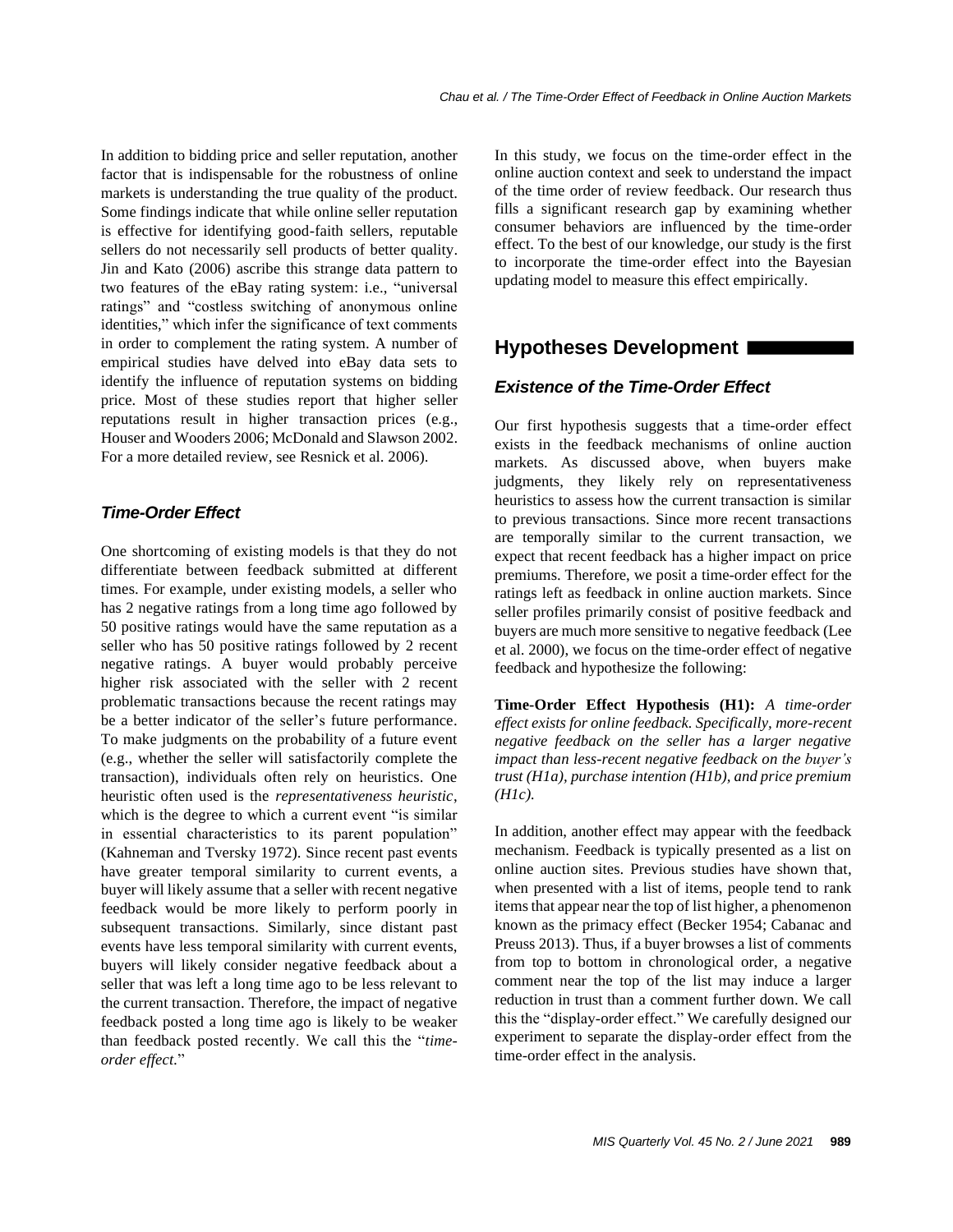In addition to bidding price and seller reputation, another factor that is indispensable for the robustness of online markets is understanding the true quality of the product. Some findings indicate that while online seller reputation is effective for identifying good-faith sellers, reputable sellers do not necessarily sell products of better quality. Jin and Kato (2006) ascribe this strange data pattern to two features of the eBay rating system: i.e., "universal ratings" and "costless switching of anonymous online identities," which infer the significance of text comments in order to complement the rating system. A number of empirical studies have delved into eBay data sets to identify the influence of reputation systems on bidding price. Most of these studies report that higher seller reputations result in higher transaction prices (e.g., Houser and Wooders 2006; McDonald and Slawson 2002. For a more detailed review, see Resnick et al. 2006).

## *Time-Order Effect*

One shortcoming of existing models is that they do not differentiate between feedback submitted at different times. For example, under existing models, a seller who has 2 negative ratings from a long time ago followed by 50 positive ratings would have the same reputation as a seller who has 50 positive ratings followed by 2 recent negative ratings. A buyer would probably perceive higher risk associated with the seller with 2 recent problematic transactions because the recent ratings may be a better indicator of the seller's future performance. To make judgments on the probability of a future event (e.g., whether the seller will satisfactorily complete the transaction), individuals often rely on heuristics. One heuristic often used is the *representativeness heuristic*, which is the degree to which a current event "is similar" in essential characteristics to its parent population" (Kahneman and Tversky 1972). Since recent past events have greater temporal similarity to current events, a buyer will likely assume that a seller with recent negative feedback would be more likely to perform poorly in subsequent transactions. Similarly, since distant past events have less temporal similarity with current events, buyers will likely consider negative feedback about a seller that was left a long time ago to be less relevant to the current transaction. Therefore, the impact of negative feedback posted a long time ago is likely to be weaker than feedback posted recently. We call this the "*timeorder effect.*"

In this study, we focus on the time-order effect in the online auction context and seek to understand the impact of the time order of review feedback. Our research thus fills a significant research gap by examining whether consumer behaviors are influenced by the time-order effect. To the best of our knowledge, our study is the first to incorporate the time-order effect into the Bayesian updating model to measure this effect empirically.

# **Hypotheses Development**

## *Existence of the Time-Order Effect*

Our first hypothesis suggests that a time-order effect exists in the feedback mechanisms of online auction markets. As discussed above, when buyers make judgments, they likely rely on representativeness heuristics to assess how the current transaction is similar to previous transactions. Since more recent transactions are temporally similar to the current transaction, we expect that recent feedback has a higher impact on price premiums. Therefore, we posit a time-order effect for the ratings left as feedback in online auction markets. Since seller profiles primarily consist of positive feedback and buyers are much more sensitive to negative feedback (Lee et al. 2000), we focus on the time-order effect of negative feedback and hypothesize the following:

**Time-Order Effect Hypothesis (H1):** *A time-order effect exists for online feedback. Specifically, more-recent negative feedback on the seller has a larger negative impact than less-recent negative feedback on the buyer's trust (H1a), purchase intention (H1b), and price premium (H1c).*

In addition, another effect may appear with the feedback mechanism. Feedback is typically presented as a list on online auction sites. Previous studies have shown that, when presented with a list of items, people tend to rank items that appear near the top of list higher, a phenomenon known as the primacy effect (Becker 1954; Cabanac and Preuss 2013). Thus, if a buyer browses a list of comments from top to bottom in chronological order, a negative comment near the top of the list may induce a larger reduction in trust than a comment further down. We call this the "display-order effect." We carefully designed our experiment to separate the display-order effect from the time-order effect in the analysis.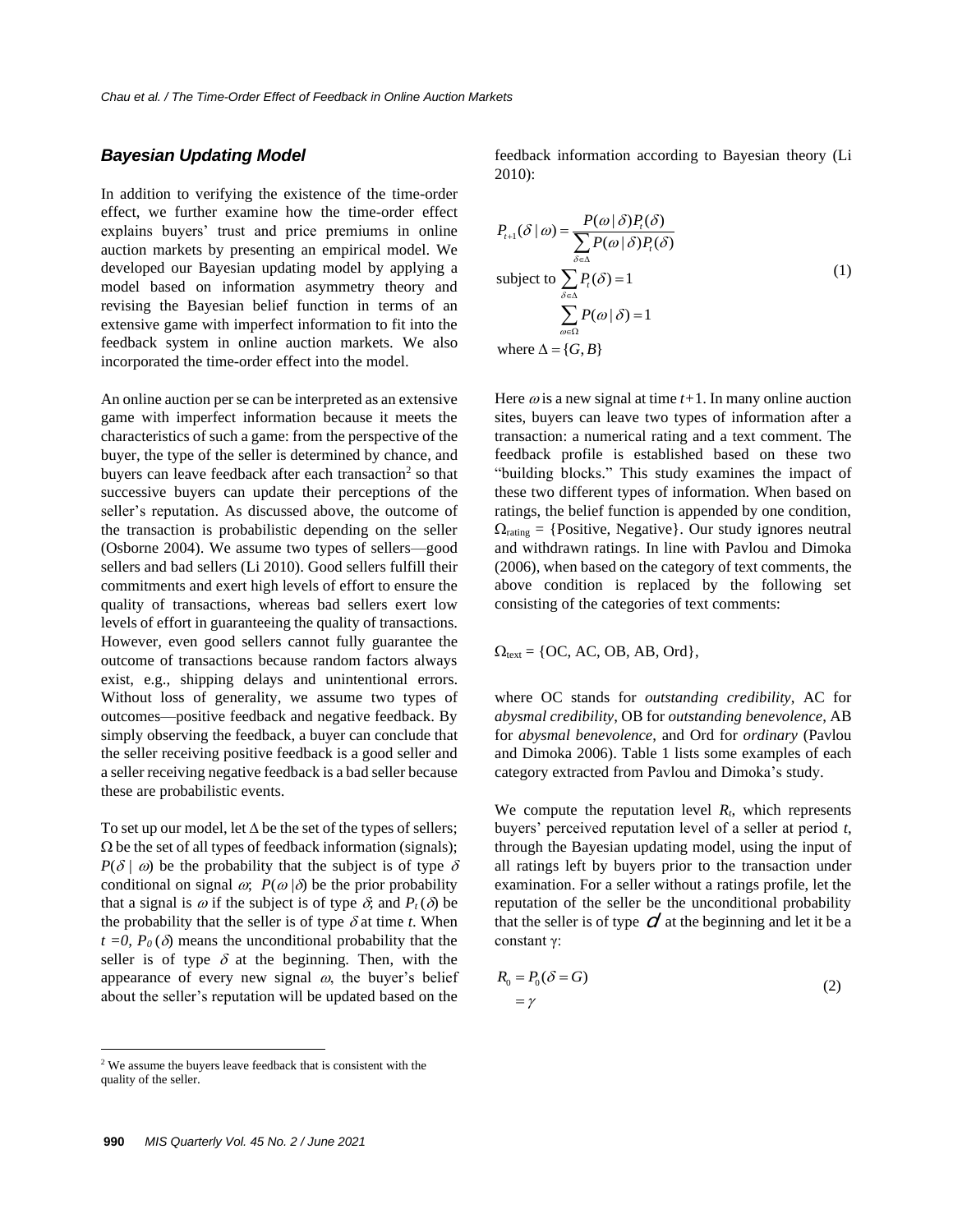#### *Bayesian Updating Model*

In addition to verifying the existence of the time-order effect, we further examine how the time-order effect explains buyers' trust and price premiums in online auction markets by presenting an empirical model. We developed our Bayesian updating model by applying a model based on information asymmetry theory and revising the Bayesian belief function in terms of an extensive game with imperfect information to fit into the feedback system in online auction markets. We also incorporated the time-order effect into the model.

An online auction per se can be interpreted as an extensive game with imperfect information because it meets the characteristics of such a game: from the perspective of the buyer, the type of the seller is determined by chance, and buyers can leave feedback after each transaction<sup>2</sup> so that successive buyers can update their perceptions of the seller's reputation. As discussed above, the outcome of the transaction is probabilistic depending on the seller (Osborne 2004). We assume two types of sellers—good sellers and bad sellers (Li 2010). Good sellers fulfill their commitments and exert high levels of effort to ensure the quality of transactions, whereas bad sellers exert low levels of effort in guaranteeing the quality of transactions. However, even good sellers cannot fully guarantee the outcome of transactions because random factors always exist, e.g., shipping delays and unintentional errors. Without loss of generality, we assume two types of outcomes—positive feedback and negative feedback. By simply observing the feedback, a buyer can conclude that the seller receiving positive feedback is a good seller and a seller receiving negative feedback is a bad seller because these are probabilistic events.

To set up our model, let  $\Delta$  be the set of the types of sellers;  $\Omega$  be the set of all types of feedback information (signals);  $P(\delta | \omega)$  be the probability that the subject is of type  $\delta$ conditional on signal  $\omega$ ;  $P(\omega|\delta)$  be the prior probability that a signal is  $\omega$  if the subject is of type  $\delta$ ; and  $P_t(\delta)$  be the probability that the seller is of type  $\delta$  at time *t*. When  $t = 0$ ,  $P_0(\delta)$  means the unconditional probability that the seller is of type  $\delta$  at the beginning. Then, with the appearance of every new signal  $\omega$ , the buyer's belief about the seller's reputation will be updated based on the

feedback information according to Bayesian theory (Li 2010):

$$
P_{t+1}(\delta | \omega) = \frac{P(\omega | \delta)P_{t}(\delta)}{\sum_{\delta \in \Delta} P(\omega | \delta)P_{t}(\delta)}
$$
  
subject to 
$$
\sum_{\delta \in \Delta} P_{t}(\delta) = 1
$$

$$
\sum_{\omega \in \Omega} P(\omega | \delta) = 1
$$
  
where 
$$
\Delta = \{G, B\}
$$
 (1)

Here  $\omega$  is a new signal at time  $t+1$ . In many online auction sites, buyers can leave two types of information after a transaction: a numerical rating and a text comment. The feedback profile is established based on these two "building blocks." This study examines the impact of these two different types of information. When based on ratings, the belief function is appended by one condition,  $\Omega_{\text{rating}} = \{\text{Positive}, \text{Negative}\}.$  Our study ignores neutral and withdrawn ratings. In line with Pavlou and Dimoka (2006), when based on the category of text comments, the above condition is replaced by the following set consisting of the categories of text comments:

 $\Omega_{text} = \{OC, AC, OB, AB, Ord\},\$ 

where OC stands for *outstanding credibility*, AC for *abysmal credibility*, OB for *outstanding benevolence*, AB for *abysmal benevolence*, and Ord for *ordinary* (Pavlou and Dimoka 2006). Table 1 lists some examples of each category extracted from Pavlou and Dimoka's study.

We compute the reputation level  $R_t$ , which represents buyers' perceived reputation level of a seller at period *t*, through the Bayesian updating model, using the input of all ratings left by buyers prior to the transaction under examination. For a seller without a ratings profile, let the reputation of the seller be the unconditional probability that the seller is of type  $\mathcal O$  at the beginning and let it be a constant γ:

$$
R_0 = P_0(\delta = G)
$$
  
=  $\gamma$  (2)

<sup>2</sup> We assume the buyers leave feedback that is consistent with the quality of the seller.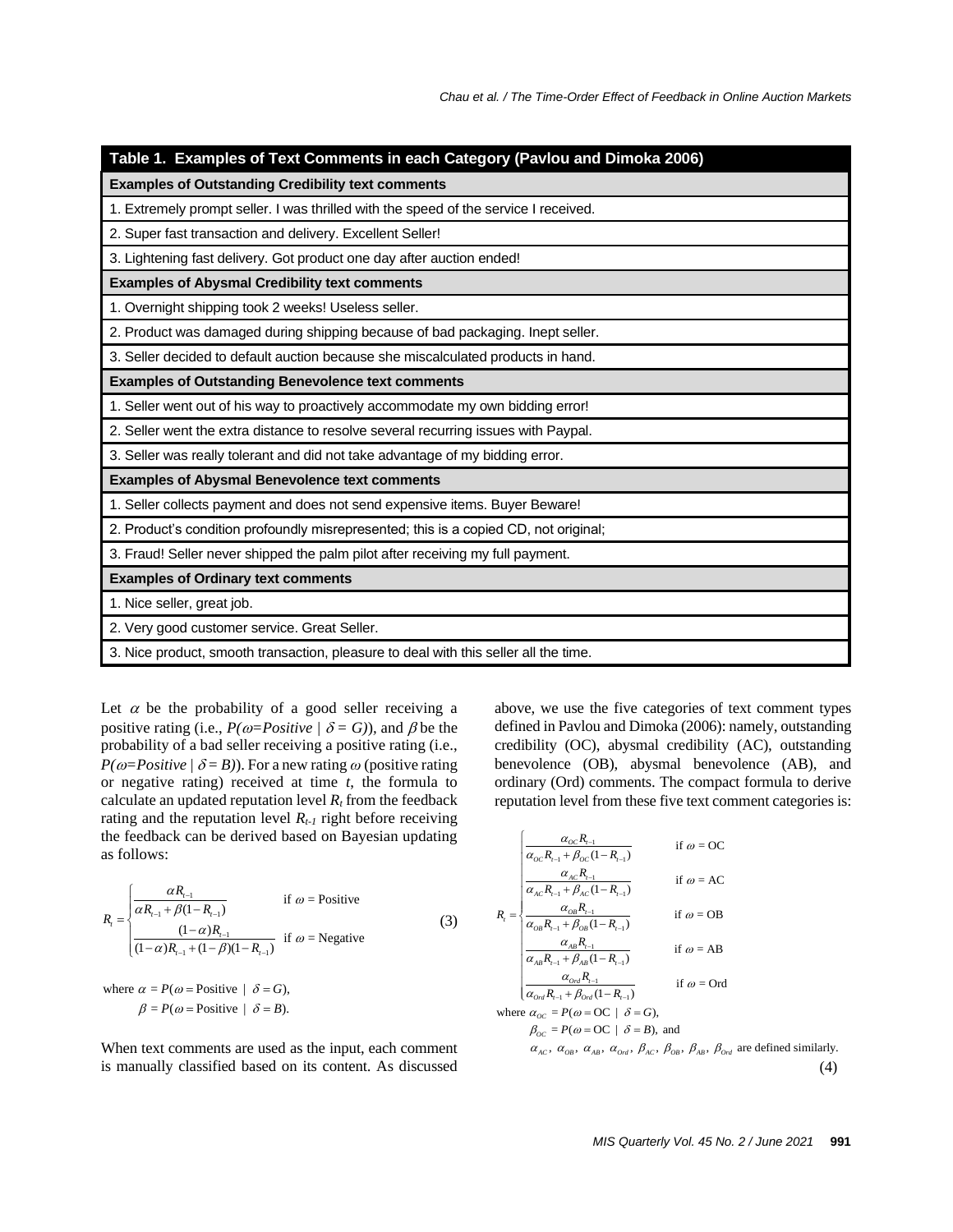| Table 1. Examples of Text Comments in each Category (Pavlou and Dimoka 2006)         |  |  |  |  |
|--------------------------------------------------------------------------------------|--|--|--|--|
| <b>Examples of Outstanding Credibility text comments</b>                             |  |  |  |  |
| 1. Extremely prompt seller. I was thrilled with the speed of the service I received. |  |  |  |  |
| 2. Super fast transaction and delivery. Excellent Seller!                            |  |  |  |  |
| 3. Lightening fast delivery. Got product one day after auction ended!                |  |  |  |  |
| <b>Examples of Abysmal Credibility text comments</b>                                 |  |  |  |  |
| 1. Overnight shipping took 2 weeks! Useless seller.                                  |  |  |  |  |
| 2. Product was damaged during shipping because of bad packaging. Inept seller.       |  |  |  |  |
| 3. Seller decided to default auction because she miscalculated products in hand.     |  |  |  |  |
| <b>Examples of Outstanding Benevolence text comments</b>                             |  |  |  |  |
| 1. Seller went out of his way to proactively accommodate my own bidding error!       |  |  |  |  |
| 2. Seller went the extra distance to resolve several recurring issues with Paypal.   |  |  |  |  |
| 3. Seller was really tolerant and did not take advantage of my bidding error.        |  |  |  |  |
| <b>Examples of Abysmal Benevolence text comments</b>                                 |  |  |  |  |
| 1. Seller collects payment and does not send expensive items. Buyer Beware!          |  |  |  |  |
| 2. Product's condition profoundly misrepresented; this is a copied CD, not original; |  |  |  |  |
| 3. Fraud! Seller never shipped the palm pilot after receiving my full payment.       |  |  |  |  |
| <b>Examples of Ordinary text comments</b>                                            |  |  |  |  |
| 1. Nice seller, great job.                                                           |  |  |  |  |
| 2. Very good customer service. Great Seller.                                         |  |  |  |  |
| 3. Nice product, smooth transaction, pleasure to deal with this seller all the time. |  |  |  |  |

Let  $\alpha$  be the probability of a good seller receiving a positive rating (i.e.,  $P(\omega = Positive \mid \delta = G)$ ), and  $\beta$  be the probability of a bad seller receiving a positive rating (i.e., *P*( $\omega$ =*Positive* /  $\delta$  = *B*)). For a new rating  $\omega$  (positive rating or negative rating) received at time *t*, the formula to calculate an updated reputation level  $R_t$  from the feedback rating and the reputation level  $R_{t-1}$  right before receiving the feedback can be derived based on Bayesian updating as follows:

$$
R_{t} = \begin{cases} \frac{\alpha R_{t-1}}{\alpha R_{t-1} + \beta (1 - R_{t-1})} & \text{if } \omega = \text{Positive} \\ \frac{(1 - \alpha)R_{t-1}}{(1 - \alpha)R_{t-1} + (1 - \beta)(1 - R_{t-1})} & \text{if } \omega = \text{Negative} \end{cases}
$$
(3)

where  $\alpha = P(\omega)$  = Positive  $|\delta = G$ ), where  $\alpha = P(\omega = \text{Positive} | \delta = G),$ <br>  $\beta = P(\omega = \text{Positive} | \delta = B).$  $\alpha = P(\omega)$  = Positive  $|\delta = G$ ),  $\alpha = P(\omega = \text{Positive} | \delta = G),$ <br>  $\beta = P(\omega = \text{Positive} | \delta = B).$ 

When text comments are used as the input, each comment is manually classified based on its content. As discussed

above, we use the five categories of text comment types defined in Pavlou and Dimoka (2006): namely, outstanding credibility (OC), abysmal credibility (AC), outstanding benevolence (OB), abysmal benevolence (AB), and ordinary (Ord) comments. The compact formula to derive reputation level from these five text comment categories is:

$$
R_{\rm r} = \begin{cases} \frac{\alpha_{\rm oc} R_{\rm r-1}}{\alpha_{\rm oc} R_{\rm r-1} + \beta_{\rm oc} (1 - R_{\rm r-1})} & \text{if } \omega = \text{OC} \\ \frac{\alpha_{\rm Ac} R_{\rm r-1}}{\alpha_{\rm Ac} R_{\rm r-1} + \beta_{\rm ac} (1 - R_{\rm r-1})} & \text{if } \omega = \text{AC} \\ \frac{\alpha_{\rm ob} R_{\rm r-1}}{\alpha_{\rm ob} R_{\rm r-1} + \beta_{\rm ob} (1 - R_{\rm r-1})} & \text{if } \omega = \text{OB} \\ \frac{\alpha_{\rm Ab} R_{\rm r-1}}{\alpha_{\rm Ab} R_{\rm r-1} + \beta_{\rm Ab} (1 - R_{\rm r-1})} & \text{if } \omega = \text{AB} \\ \frac{\alpha_{\rm on} R_{\rm r-1}}{\alpha_{\rm on} R_{\rm r-1} + \beta_{\rm on} (1 - R_{\rm r-1})} & \text{if } \omega = \text{Ord} \\ \frac{\alpha_{\rm on} R_{\rm r-1}}{\alpha_{\rm oo} - R_{\rm r-1} + \beta_{\rm on} (1 - R_{\rm r-1})} & \text{if } \omega = \text{Ord} \\ \beta_{\rm oc} = P(\omega = \text{OC} \mid \delta = B), \text{ and} \\ \alpha_{\rm ac}, \alpha_{\rm os}, \alpha_{\rm Ab}, \alpha_{\rm on} \beta_{\rm AC}, \beta_{\rm os}, \beta_{\rm AB}, \beta_{\rm on} \text{ are defined similarly.} \end{cases} \tag{4}
$$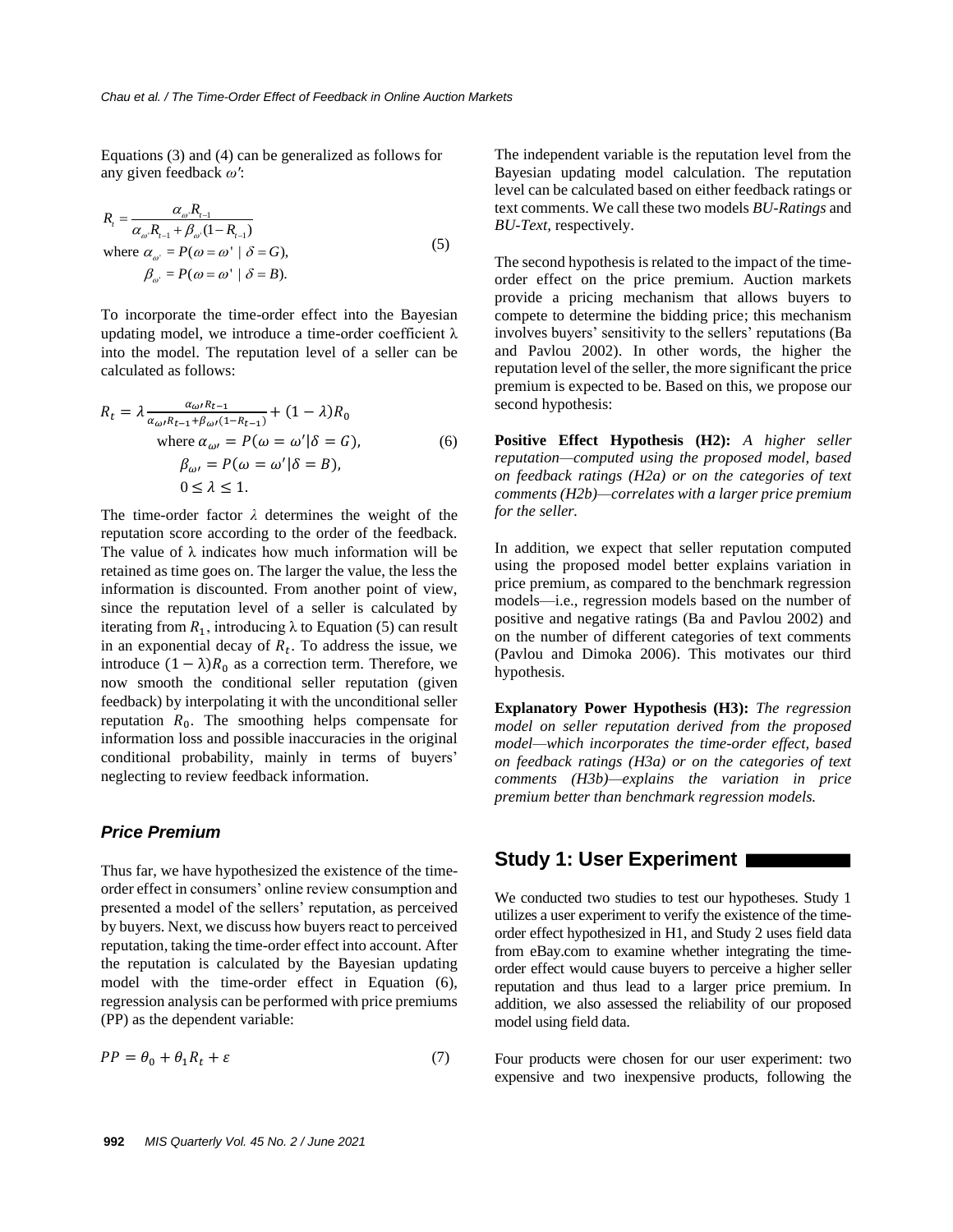Equations (3) and (4) can be generalized as follows for any given feedback *ω'*:

$$
R_{i} = \frac{\alpha_{\omega} R_{i-1}}{\alpha_{\omega} R_{i-1} + \beta_{\omega} (1 - R_{i-1})}
$$
  
where  $\alpha_{\omega} = P(\omega = \omega' | \delta = G)$ ,  
 $\beta_{\omega} = P(\omega = \omega' | \delta = B)$ . (5)

To incorporate the time-order effect into the Bayesian updating model, we introduce a time-order coefficient  $\lambda$ into the model. The reputation level of a seller can be calculated as follows:

$$
R_{t} = \lambda \frac{\alpha_{\omega} R_{t-1}}{\alpha_{\omega} R_{t-1} + \beta_{\omega} (1 - R_{t-1})} + (1 - \lambda) R_{0}
$$
  
where  $\alpha_{\omega} = P(\omega = \omega' | \delta = G)$ ,  
 $\beta_{\omega} = P(\omega = \omega' | \delta = B)$ ,  
 $0 \le \lambda \le 1$ . (6)

The time-order factor *λ* determines the weight of the reputation score according to the order of the feedback. The value of  $\lambda$  indicates how much information will be retained as time goes on. The larger the value, the less the information is discounted. From another point of view, since the reputation level of a seller is calculated by iterating from  $R_1$ , introducing  $\lambda$  to Equation (5) can result in an exponential decay of  $R_t$ . To address the issue, we introduce  $(1 - \lambda)R_0$  as a correction term. Therefore, we now smooth the conditional seller reputation (given feedback) by interpolating it with the unconditional seller reputation  $R_0$ . The smoothing helps compensate for information loss and possible inaccuracies in the original conditional probability, mainly in terms of buyers' neglecting to review feedback information.

#### *Price Premium*

Thus far, we have hypothesized the existence of the timeorder effect in consumers' online review consumption and presented a model of the sellers' reputation, as perceived by buyers. Next, we discuss how buyers react to perceived reputation, taking the time-order effect into account. After the reputation is calculated by the Bayesian updating model with the time-order effect in Equation (6), regression analysis can be performed with price premiums (PP) as the dependent variable:

$$
PP = \theta_0 + \theta_1 R_t + \varepsilon \tag{7}
$$

The independent variable is the reputation level from the Bayesian updating model calculation. The reputation level can be calculated based on either feedback ratings or text comments. We call these two models *BU-Ratings* and *BU-Text,* respectively.

The second hypothesis is related to the impact of the timeorder effect on the price premium. Auction markets provide a pricing mechanism that allows buyers to compete to determine the bidding price; this mechanism involves buyers' sensitivity to the sellers' reputations (Ba and Pavlou 2002). In other words, the higher the reputation level of the seller, the more significant the price premium is expected to be. Based on this, we propose our second hypothesis:

**Positive Effect Hypothesis (H2):** *A higher seller reputation—computed using the proposed model, based on feedback ratings (H2a) or on the categories of text comments (H2b)—correlates with a larger price premium for the seller.*

In addition, we expect that seller reputation computed using the proposed model better explains variation in price premium, as compared to the benchmark regression models—i.e., regression models based on the number of positive and negative ratings (Ba and Pavlou 2002) and on the number of different categories of text comments (Pavlou and Dimoka 2006). This motivates our third hypothesis.

**Explanatory Power Hypothesis (H3):** *The regression model on seller reputation derived from the proposed model—which incorporates the time-order effect, based on feedback ratings (H3a) or on the categories of text comments (H3b)—explains the variation in price premium better than benchmark regression models.*

## **Study 1: User Experiment**

We conducted two studies to test our hypotheses. Study 1 utilizes a user experiment to verify the existence of the timeorder effect hypothesized in H1, and Study 2 uses field data from eBay.com to examine whether integrating the timeorder effect would cause buyers to perceive a higher seller reputation and thus lead to a larger price premium. In addition, we also assessed the reliability of our proposed model using field data.

Four products were chosen for our user experiment: two expensive and two inexpensive products, following the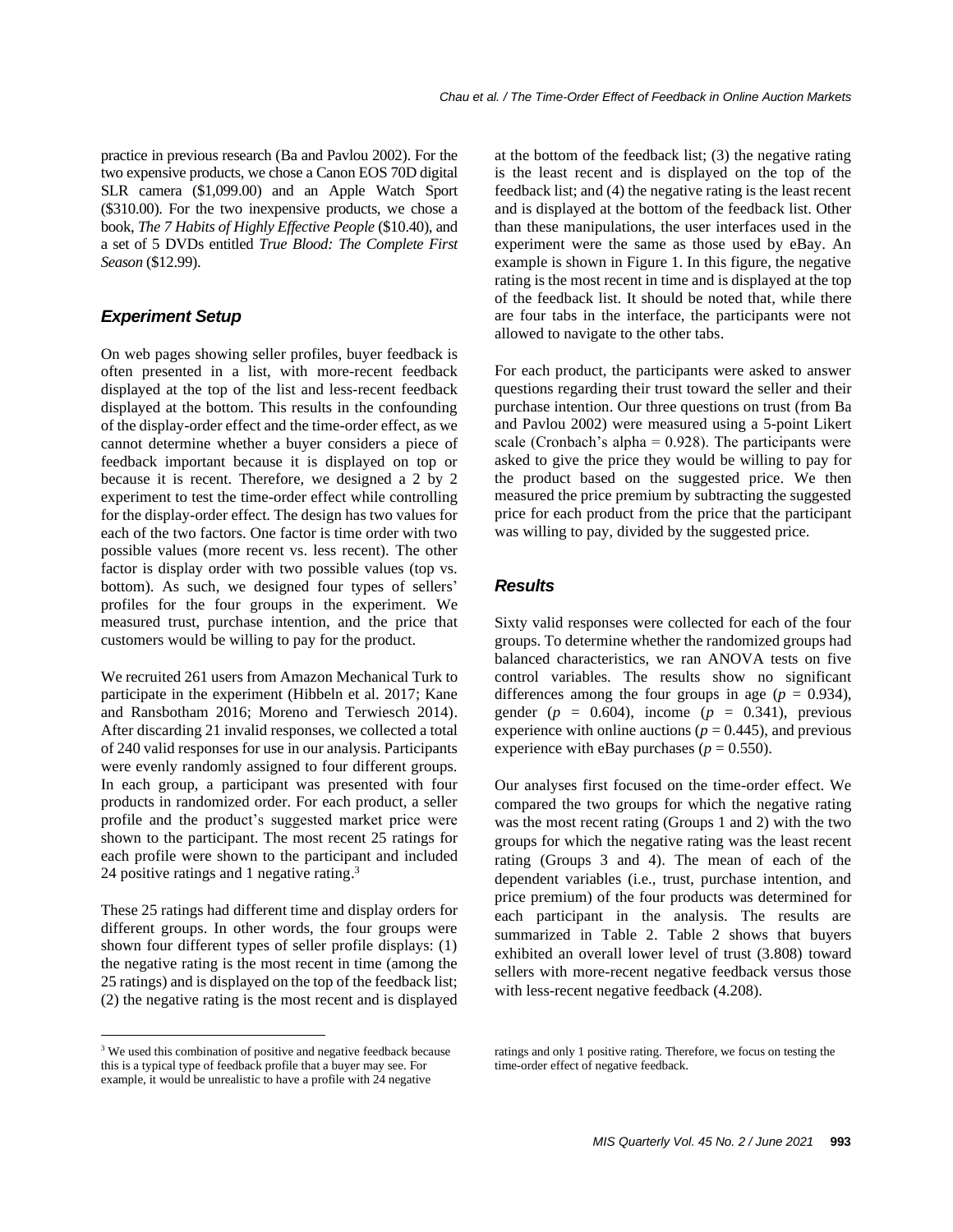practice in previous research (Ba and Pavlou 2002). For the two expensive products, we chose a Canon EOS 70D digital SLR camera (\$1,099.00) and an Apple Watch Sport (\$310.00). For the two inexpensive products, we chose a book, *The 7 Habits of Highly Effective People* (\$10.40), and a set of 5 DVDs entitled *True Blood: The Complete First Season* (\$12.99).

## *Experiment Setup*

On web pages showing seller profiles, buyer feedback is often presented in a list, with more-recent feedback displayed at the top of the list and less-recent feedback displayed at the bottom. This results in the confounding of the display-order effect and the time-order effect, as we cannot determine whether a buyer considers a piece of feedback important because it is displayed on top or because it is recent. Therefore, we designed a 2 by 2 experiment to test the time-order effect while controlling for the display-order effect. The design has two values for each of the two factors. One factor is time order with two possible values (more recent vs. less recent). The other factor is display order with two possible values (top vs. bottom). As such, we designed four types of sellers' profiles for the four groups in the experiment. We measured trust, purchase intention, and the price that customers would be willing to pay for the product.

We recruited 261 users from Amazon Mechanical Turk to participate in the experiment (Hibbeln et al. 2017; Kane and Ransbotham 2016; Moreno and Terwiesch 2014). After discarding 21 invalid responses, we collected a total of 240 valid responses for use in our analysis. Participants were evenly randomly assigned to four different groups. In each group, a participant was presented with four products in randomized order. For each product, a seller profile and the product's suggested market price were shown to the participant. The most recent 25 ratings for each profile were shown to the participant and included 24 positive ratings and 1 negative rating.<sup>3</sup>

These 25 ratings had different time and display orders for different groups. In other words, the four groups were shown four different types of seller profile displays: (1) the negative rating is the most recent in time (among the 25 ratings) and is displayed on the top of the feedback list; (2) the negative rating is the most recent and is displayed

<sup>3</sup> We used this combination of positive and negative feedback because this is a typical type of feedback profile that a buyer may see. For example, it would be unrealistic to have a profile with 24 negative

at the bottom of the feedback list; (3) the negative rating is the least recent and is displayed on the top of the feedback list; and (4) the negative rating is the least recent and is displayed at the bottom of the feedback list. Other than these manipulations, the user interfaces used in the experiment were the same as those used by eBay. An example is shown in Figure 1. In this figure, the negative rating is the most recent in time and is displayed at the top of the feedback list. It should be noted that, while there are four tabs in the interface, the participants were not allowed to navigate to the other tabs.

For each product, the participants were asked to answer questions regarding their trust toward the seller and their purchase intention. Our three questions on trust (from Ba and Pavlou 2002) were measured using a 5-point Likert scale (Cronbach's alpha  $= 0.928$ ). The participants were asked to give the price they would be willing to pay for the product based on the suggested price. We then measured the price premium by subtracting the suggested price for each product from the price that the participant was willing to pay, divided by the suggested price.

## *Results*

Sixty valid responses were collected for each of the four groups. To determine whether the randomized groups had balanced characteristics, we ran ANOVA tests on five control variables. The results show no significant differences among the four groups in age ( $p = 0.934$ ), gender  $(p = 0.604)$ , income  $(p = 0.341)$ , previous experience with online auctions ( $p = 0.445$ ), and previous experience with eBay purchases ( $p = 0.550$ ).

Our analyses first focused on the time-order effect. We compared the two groups for which the negative rating was the most recent rating (Groups 1 and 2) with the two groups for which the negative rating was the least recent rating (Groups 3 and 4). The mean of each of the dependent variables (i.e., trust, purchase intention, and price premium) of the four products was determined for each participant in the analysis. The results are summarized in Table 2. Table 2 shows that buyers exhibited an overall lower level of trust (3.808) toward sellers with more-recent negative feedback versus those with less-recent negative feedback (4.208).

ratings and only 1 positive rating. Therefore, we focus on testing the time-order effect of negative feedback.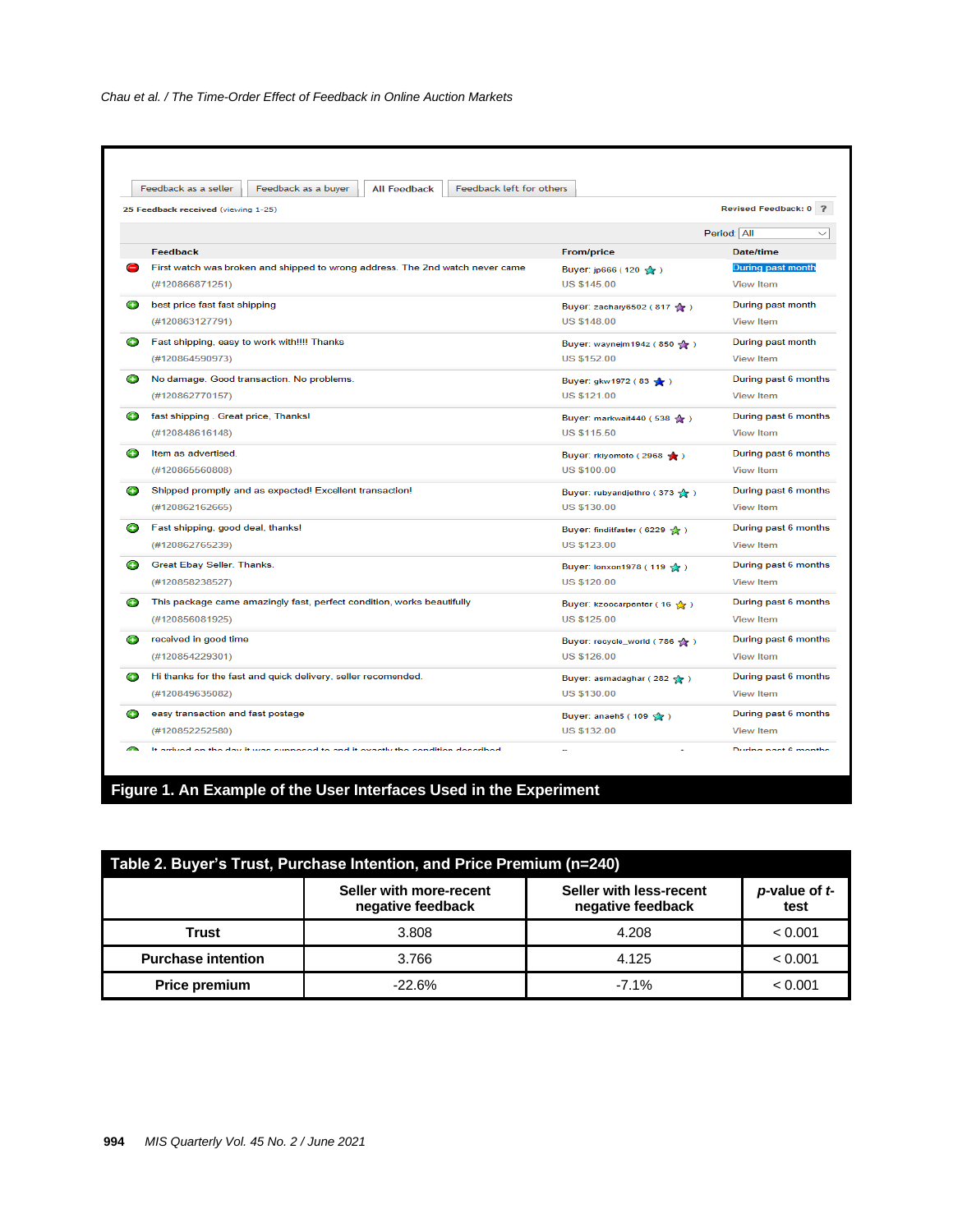| Feedback as a seller<br>Feedback as a buyer<br><b>All Feedback</b><br>Feedback left for others |                                            |                       |
|------------------------------------------------------------------------------------------------|--------------------------------------------|-----------------------|
| 25 Feedback received (viewing 1-25)                                                            |                                            | Revised Feedback: 0 ? |
|                                                                                                |                                            | Period: All           |
| Feedback                                                                                       | <b>From/price</b>                          | <b>Date/time</b>      |
| First watch was broken and shipped to wrong address. The 2nd watch never came                  | Buyer: jp666 (120 5 )                      | During past month     |
| (#120866871251)                                                                                | <b>US \$145.00</b>                         | <b>View Item</b>      |
| best price fast fast shipping                                                                  | Buyer: zachary6502 (817                    | During past month     |
| (#120863127791)                                                                                | <b>US \$148.00</b>                         | <b>View Item</b>      |
| Fast shipping, easy to work with!!!! Thanks                                                    | Buyer: waynejm194z (850 gr)                | During past month     |
| (#120864590973)                                                                                | <b>US \$152.00</b>                         | <b>View Item</b>      |
| No damage. Good transaction. No problems.                                                      | Buyer: gkw1972 (83 <                       | During past 6 months  |
| (#120862770157)                                                                                | <b>US \$121.00</b>                         | <b>View Item</b>      |
| fast shipping. Great price, Thanks!                                                            | Buyer: markwait440 (538 金)                 | During past 6 months  |
| (#120848616148)                                                                                | <b>US \$115.50</b>                         | <b>View Item</b>      |
| Item as advertised.                                                                            | Buyer: rkiyomoto (2968 +)                  | During past 6 months  |
| (#120865560808)                                                                                | <b>US \$100.00</b>                         | <b>View Item</b>      |
| Shipped promptly and as expected! Excellent transaction!                                       | Buyer: rubyandjethro (373 $\frac{1}{24}$ ) | During past 6 months  |
| (#120862162665)                                                                                | <b>US \$130.00</b>                         | <b>View Item</b>      |
| Fast shipping, good deal, thanks!                                                              | Buyer: finditfaster (6229 Sec)             | During past 6 months  |
| (#120862765239)                                                                                | US \$123.00                                | <b>View Item</b>      |
| Great Ebay Seller. Thanks.                                                                     | Buyer: Ionxon1978 (119 %)                  | During past 6 months  |
| (#120858238527)                                                                                | <b>US \$120.00</b>                         | <b>View Item</b>      |
| This package came amazingly fast, perfect condition, works beautifully                         | Buyer: kzoocarpenter (16 $\frac{1}{2}$ )   | During past 6 months  |
| (#120856081925)                                                                                | <b>US \$125.00</b>                         | <b>View Item</b>      |
| received in good time                                                                          | Buyer: recycle_world (786 <a></a>          | During past 6 months  |
| (#120854229301)                                                                                | <b>US \$126.00</b>                         | <b>View Item</b>      |
| Hi thanks for the fast and quick delivery, seller recomended.                                  | Buyer: asmadaghar (282 52)                 | During past 6 months  |
| (#120849635082)                                                                                | <b>US \$130.00</b>                         | <b>View Item</b>      |
| easy transaction and fast postage                                                              | Buyer: anaeh5 (109 $\frac{1}{2}$ )         | During past 6 months  |
| (#120852252580)                                                                                | US \$132.00                                | <b>View Item</b>      |

**Figure 1. An Example of the User Interfaces Used in the Experiment**

| Table 2. Buyer's Trust, Purchase Intention, and Price Premium (n=240) |                                              |                                              |                       |  |
|-----------------------------------------------------------------------|----------------------------------------------|----------------------------------------------|-----------------------|--|
|                                                                       | Seller with more-recent<br>negative feedback | Seller with less-recent<br>negative feedback | p-value of t-<br>test |  |
| Trust                                                                 | 3.808                                        | 4.208                                        | < 0.001               |  |
| <b>Purchase intention</b>                                             | 3.766                                        | 4.125                                        | < 0.001               |  |
| <b>Price premium</b>                                                  | $-22.6%$                                     | $-7.1%$                                      | < 0.001               |  |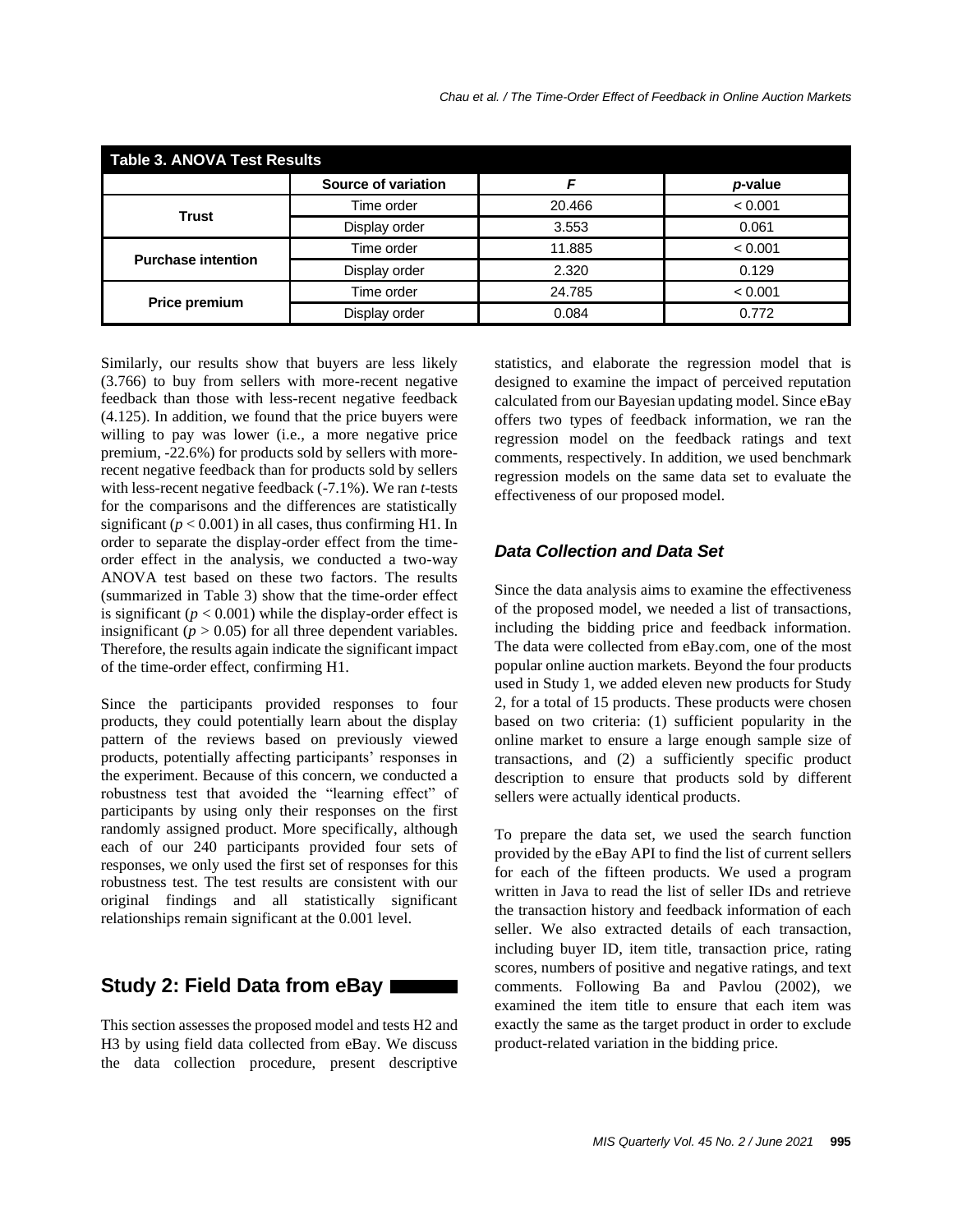| <b>Table 3. ANOVA Test Results</b> |                     |        |         |  |  |
|------------------------------------|---------------------|--------|---------|--|--|
|                                    | Source of variation |        | p-value |  |  |
| Trust                              | Time order          | 20.466 | < 0.001 |  |  |
|                                    | Display order       | 3.553  | 0.061   |  |  |
| <b>Purchase intention</b>          | Time order          | 11.885 | < 0.001 |  |  |
|                                    | Display order       | 2.320  | 0.129   |  |  |
| Price premium                      | Time order          | 24.785 | < 0.001 |  |  |
|                                    | Display order       | 0.084  | 0.772   |  |  |

Similarly, our results show that buyers are less likely (3.766) to buy from sellers with more-recent negative feedback than those with less-recent negative feedback (4.125). In addition, we found that the price buyers were willing to pay was lower (i.e., a more negative price premium, -22.6%) for products sold by sellers with morerecent negative feedback than for products sold by sellers with less-recent negative feedback (-7.1%). We ran *t*-tests for the comparisons and the differences are statistically significant  $(p < 0.001)$  in all cases, thus confirming H1. In order to separate the display-order effect from the timeorder effect in the analysis, we conducted a two-way ANOVA test based on these two factors. The results (summarized in Table 3) show that the time-order effect is significant  $(p < 0.001)$  while the display-order effect is insignificant ( $p > 0.05$ ) for all three dependent variables. Therefore, the results again indicate the significant impact of the time-order effect, confirming H1.

Since the participants provided responses to four products, they could potentially learn about the display pattern of the reviews based on previously viewed products, potentially affecting participants' responses in the experiment. Because of this concern, we conducted a robustness test that avoided the "learning effect" of participants by using only their responses on the first randomly assigned product. More specifically, although each of our 240 participants provided four sets of responses, we only used the first set of responses for this robustness test. The test results are consistent with our original findings and all statistically significant relationships remain significant at the 0.001 level.

# **Study 2: Field Data from eBay**

This section assesses the proposed model and tests H2 and H3 by using field data collected from eBay. We discuss the data collection procedure, present descriptive statistics, and elaborate the regression model that is designed to examine the impact of perceived reputation calculated from our Bayesian updating model. Since eBay offers two types of feedback information, we ran the regression model on the feedback ratings and text comments, respectively. In addition, we used benchmark regression models on the same data set to evaluate the effectiveness of our proposed model.

## *Data Collection and Data Set*

Since the data analysis aims to examine the effectiveness of the proposed model, we needed a list of transactions, including the bidding price and feedback information. The data were collected from eBay.com, one of the most popular online auction markets. Beyond the four products used in Study 1, we added eleven new products for Study 2, for a total of 15 products. These products were chosen based on two criteria: (1) sufficient popularity in the online market to ensure a large enough sample size of transactions, and (2) a sufficiently specific product description to ensure that products sold by different sellers were actually identical products.

To prepare the data set, we used the search function provided by the eBay API to find the list of current sellers for each of the fifteen products. We used a program written in Java to read the list of seller IDs and retrieve the transaction history and feedback information of each seller. We also extracted details of each transaction, including buyer ID, item title, transaction price, rating scores, numbers of positive and negative ratings, and text comments. Following Ba and Pavlou (2002), we examined the item title to ensure that each item was exactly the same as the target product in order to exclude product-related variation in the bidding price.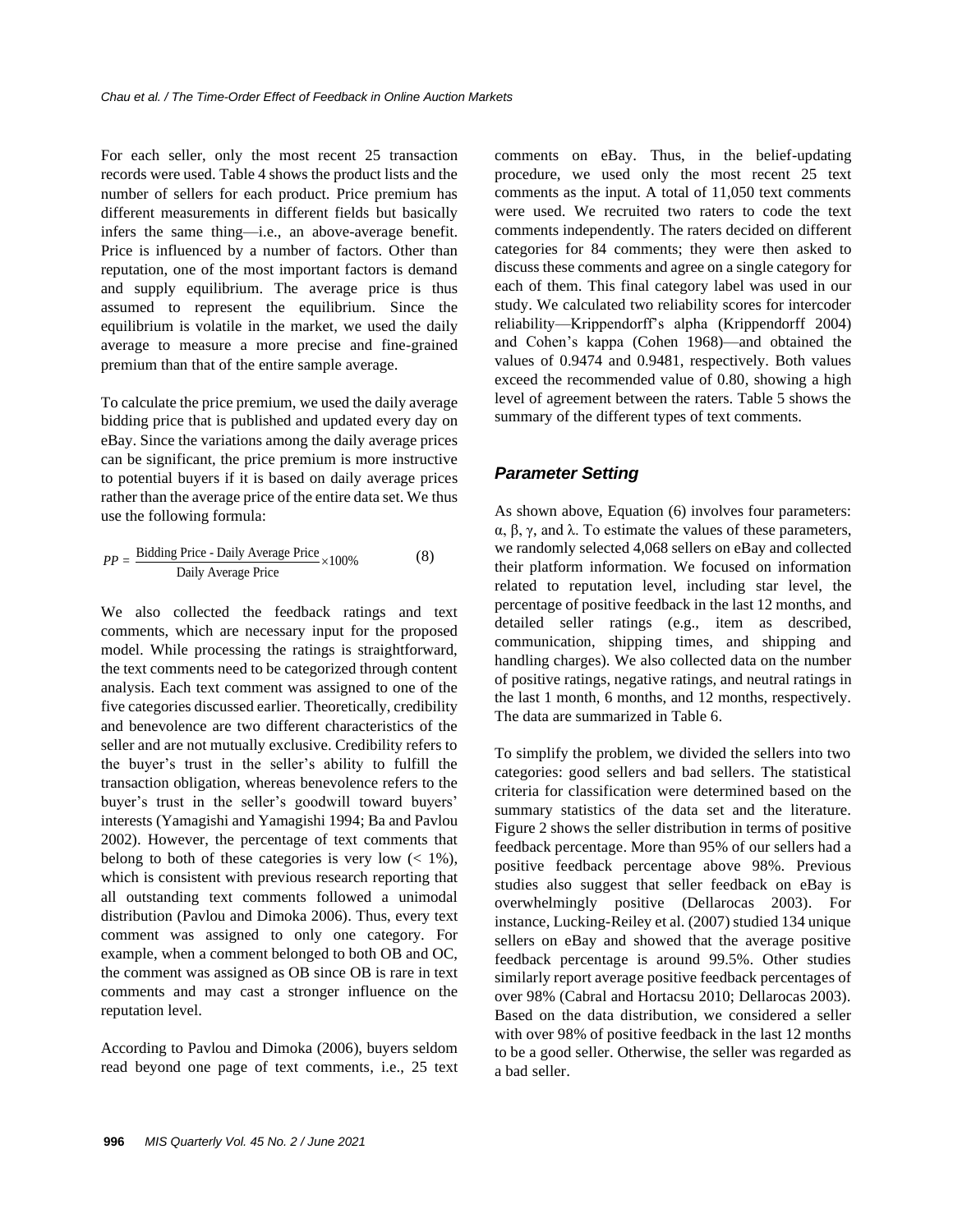For each seller, only the most recent 25 transaction records were used. Table 4 shows the product lists and the number of sellers for each product. Price premium has different measurements in different fields but basically infers the same thing—i.e., an above-average benefit. Price is influenced by a number of factors. Other than reputation, one of the most important factors is demand and supply equilibrium. The average price is thus assumed to represent the equilibrium. Since the equilibrium is volatile in the market, we used the daily average to measure a more precise and fine-grained premium than that of the entire sample average.

To calculate the price premium, we used the daily average bidding price that is published and updated every day on eBay. Since the variations among the daily average prices can be significant, the price premium is more instructive to potential buyers if it is based on daily average prices rather than the average price of the entire data set. We thus use the following formula:

$$
PP = \frac{\text{Bidding Price - Daily Average Price}}{\text{Daily Average Price}} \times 100\%
$$
 (8)

We also collected the feedback ratings and text comments, which are necessary input for the proposed model. While processing the ratings is straightforward, the text comments need to be categorized through content analysis. Each text comment was assigned to one of the five categories discussed earlier. Theoretically, credibility and benevolence are two different characteristics of the seller and are not mutually exclusive. Credibility refers to the buyer's trust in the seller's ability to fulfill the transaction obligation, whereas benevolence refers to the buyer's trust in the seller's goodwill toward buyers' interests (Yamagishi and Yamagishi 1994; Ba and Pavlou 2002). However, the percentage of text comments that belong to both of these categories is very low  $\left($  < 1%), which is consistent with previous research reporting that all outstanding text comments followed a unimodal distribution (Pavlou and Dimoka 2006). Thus, every text comment was assigned to only one category. For example, when a comment belonged to both OB and OC, the comment was assigned as OB since OB is rare in text comments and may cast a stronger influence on the reputation level.

According to Pavlou and Dimoka (2006), buyers seldom read beyond one page of text comments, i.e., 25 text comments on eBay. Thus, in the belief-updating procedure, we used only the most recent 25 text comments as the input. A total of 11,050 text comments were used. We recruited two raters to code the text comments independently. The raters decided on different categories for 84 comments; they were then asked to discuss these comments and agree on a single category for each of them. This final category label was used in our study. We calculated two reliability scores for intercoder reliability—Krippendorff's alpha (Krippendorff 2004) and Cohen's kappa (Cohen 1968)—and obtained the values of 0.9474 and 0.9481, respectively. Both values exceed the recommended value of 0.80, showing a high level of agreement between the raters. Table 5 shows the summary of the different types of text comments.

## *Parameter Setting*

As shown above, Equation (6) involves four parameters: α, β, γ, and λ. To estimate the values of these parameters, we randomly selected 4,068 sellers on eBay and collected their platform information. We focused on information related to reputation level, including star level, the percentage of positive feedback in the last 12 months, and detailed seller ratings (e.g., item as described, communication, shipping times, and shipping and handling charges). We also collected data on the number of positive ratings, negative ratings, and neutral ratings in the last 1 month, 6 months, and 12 months, respectively. The data are summarized in Table 6.

To simplify the problem, we divided the sellers into two categories: good sellers and bad sellers. The statistical criteria for classification were determined based on the summary statistics of the data set and the literature. Figure 2 shows the seller distribution in terms of positive feedback percentage. More than 95% of our sellers had a positive feedback percentage above 98%. Previous studies also suggest that seller feedback on eBay is overwhelmingly positive (Dellarocas 2003). For instance, Lucking-Reiley et al. (2007) studied 134 unique sellers on eBay and showed that the average positive feedback percentage is around 99.5%. Other studies similarly report average positive feedback percentages of over 98% (Cabral and Hortacsu 2010; Dellarocas 2003). Based on the data distribution, we considered a seller with over 98% of positive feedback in the last 12 months to be a good seller. Otherwise, the seller was regarded as a bad seller.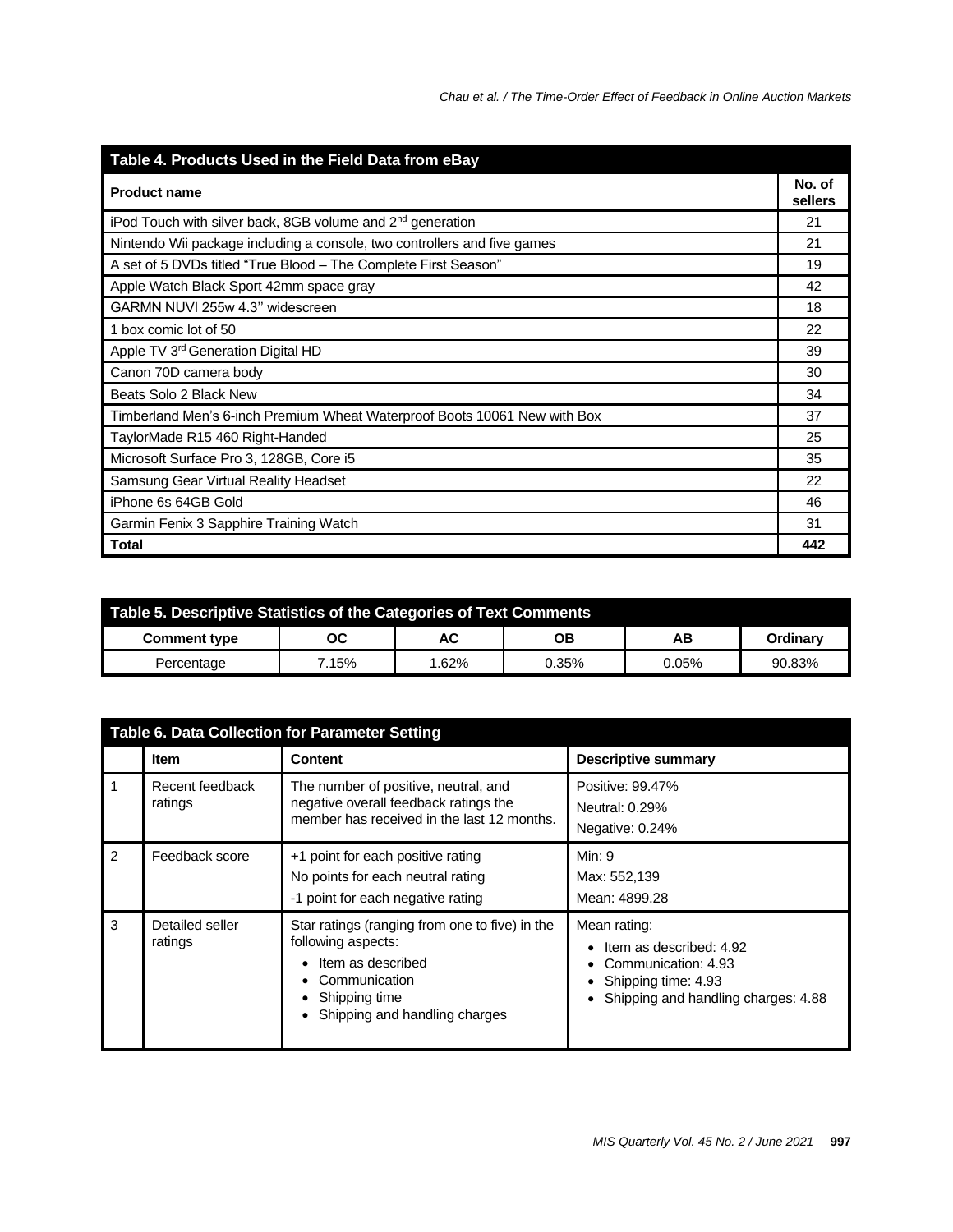| Table 4. Products Used in the Field Data from eBay                        |     |  |  |
|---------------------------------------------------------------------------|-----|--|--|
| <b>Product name</b>                                                       |     |  |  |
| iPod Touch with silver back, 8GB volume and 2 <sup>nd</sup> generation    | 21  |  |  |
| Nintendo Wii package including a console, two controllers and five games  | 21  |  |  |
| A set of 5 DVDs titled "True Blood - The Complete First Season"           | 19  |  |  |
| Apple Watch Black Sport 42mm space gray                                   | 42  |  |  |
| GARMN NUVI 255w 4.3" widescreen                                           | 18  |  |  |
| 1 box comic lot of 50                                                     | 22  |  |  |
| Apple TV 3rd Generation Digital HD                                        | 39  |  |  |
| Canon 70D camera body                                                     | 30  |  |  |
| Beats Solo 2 Black New                                                    | 34  |  |  |
| Timberland Men's 6-inch Premium Wheat Waterproof Boots 10061 New with Box | 37  |  |  |
| TaylorMade R15 460 Right-Handed                                           | 25  |  |  |
| Microsoft Surface Pro 3, 128GB, Core i5                                   | 35  |  |  |
| Samsung Gear Virtual Reality Headset                                      | 22  |  |  |
| iPhone 6s 64GB Gold                                                       | 46  |  |  |
| Garmin Fenix 3 Sapphire Training Watch                                    | 31  |  |  |
| <b>Total</b>                                                              | 442 |  |  |

| Table 5. Descriptive Statistics of the Categories of Text Comments |       |       |       |       |                 |  |
|--------------------------------------------------------------------|-------|-------|-------|-------|-----------------|--|
| <b>Comment type</b>                                                | ОC    | AC    | OΒ    | AВ    | <b>Ordinary</b> |  |
| Percentage                                                         | 7.15% | 1.62% | 0.35% | 0.05% | 90.83%          |  |

| Table 6. Data Collection for Parameter Setting |                            |                                                                                                                                                              |                                                                                                                              |  |  |
|------------------------------------------------|----------------------------|--------------------------------------------------------------------------------------------------------------------------------------------------------------|------------------------------------------------------------------------------------------------------------------------------|--|--|
|                                                | <b>Item</b>                | <b>Content</b>                                                                                                                                               | <b>Descriptive summary</b>                                                                                                   |  |  |
| 1                                              | Recent feedback<br>ratings | The number of positive, neutral, and<br>negative overall feedback ratings the<br>member has received in the last 12 months.                                  | Positive: 99.47%<br><b>Neutral: 0.29%</b><br>Negative: 0.24%                                                                 |  |  |
| $\mathfrak{p}$                                 | Feedback score             | +1 point for each positive rating<br>No points for each neutral rating<br>-1 point for each negative rating                                                  | Min: 9<br>Max: 552,139<br>Mean: 4899.28                                                                                      |  |  |
| 3                                              | Detailed seller<br>ratings | Star ratings (ranging from one to five) in the<br>following aspects:<br>Item as described<br>Communication<br>Shipping time<br>Shipping and handling charges | Mean rating:<br>Item as described: 4.92<br>Communication: 4.93<br>Shipping time: 4.93<br>Shipping and handling charges: 4.88 |  |  |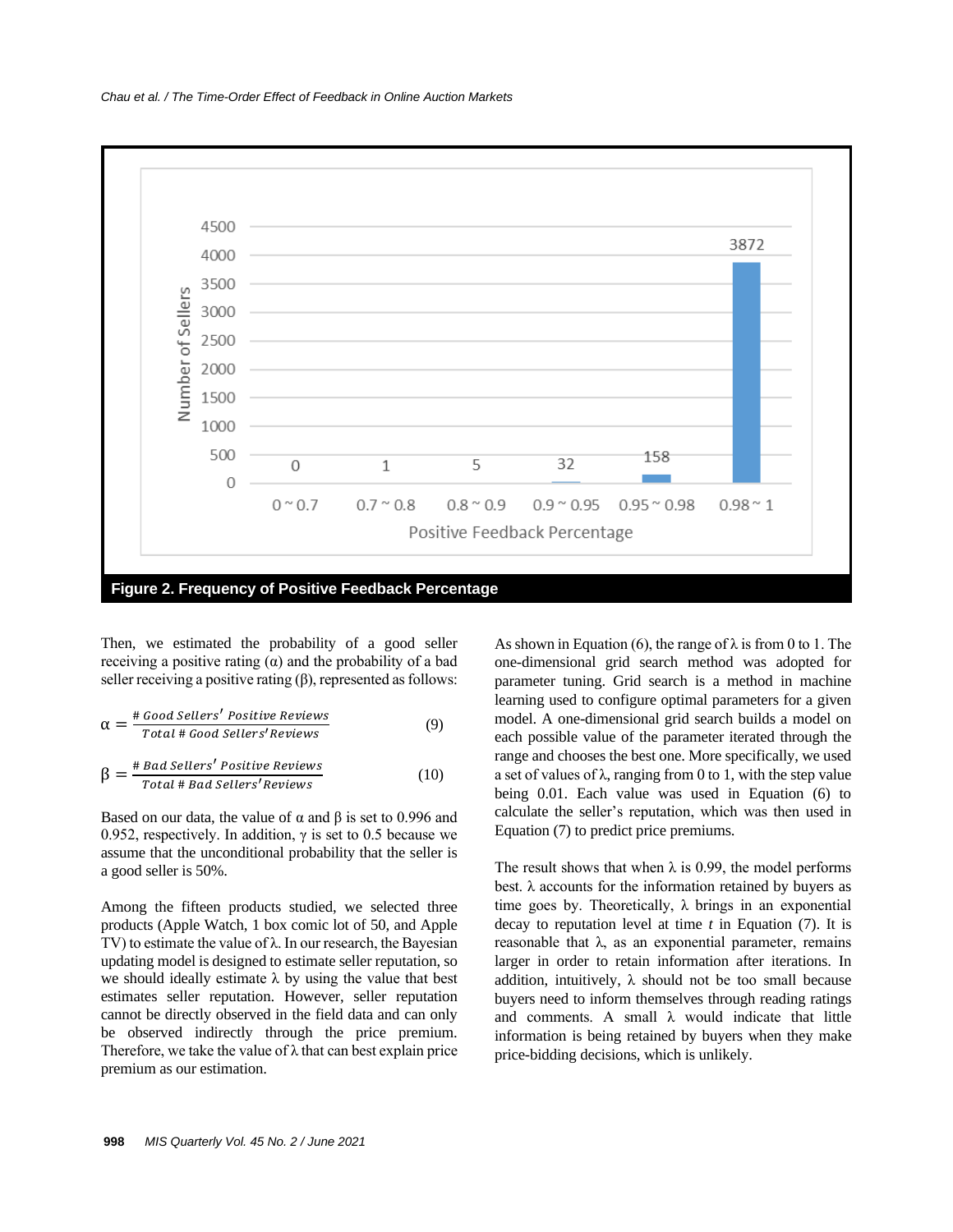

**Figure 2. Frequency of Positive Feedback Percentage**

Then, we estimated the probability of a good seller receiving a positive rating  $(α)$  and the probability of a bad seller receiving a positive rating  $(\beta)$ , represented as follows:

$$
\alpha = \frac{\text{# Good Sellers}'}{\text{Total # Good Sellers}'} \tag{9}
$$

$$
\beta = \frac{\# Bad Sellers' Positive Reviews}{Total \# Bad Sellers' Reviews}
$$
 (10)

Based on our data, the value of  $\alpha$  and  $\beta$  is set to 0.996 and 0.952, respectively. In addition,  $\gamma$  is set to 0.5 because we assume that the unconditional probability that the seller is a good seller is 50%.

Among the fifteen products studied, we selected three products (Apple Watch, 1 box comic lot of 50, and Apple TV) to estimate the value of λ. In our research, the Bayesian updating model is designed to estimate seller reputation, so we should ideally estimate  $\lambda$  by using the value that best estimates seller reputation. However, seller reputation cannot be directly observed in the field data and can only be observed indirectly through the price premium. Therefore, we take the value of  $\lambda$  that can best explain price premium as our estimation.

As shown in Equation (6), the range of  $\lambda$  is from 0 to 1. The one-dimensional grid search method was adopted for parameter tuning. Grid search is a method in machine learning used to configure optimal parameters for a given model. A one-dimensional grid search builds a model on each possible value of the parameter iterated through the range and chooses the best one. More specifically, we used a set of values of  $\lambda$ , ranging from 0 to 1, with the step value being 0.01. Each value was used in Equation (6) to calculate the seller's reputation, which was then used in Equation (7) to predict price premiums.

The result shows that when  $\lambda$  is 0.99, the model performs best.  $\lambda$  accounts for the information retained by buyers as time goes by. Theoretically,  $\lambda$  brings in an exponential decay to reputation level at time *t* in Equation (7). It is reasonable that  $\lambda$ , as an exponential parameter, remains larger in order to retain information after iterations. In addition, intuitively,  $\lambda$  should not be too small because buyers need to inform themselves through reading ratings and comments. A small  $\lambda$  would indicate that little information is being retained by buyers when they make price-bidding decisions, which is unlikely.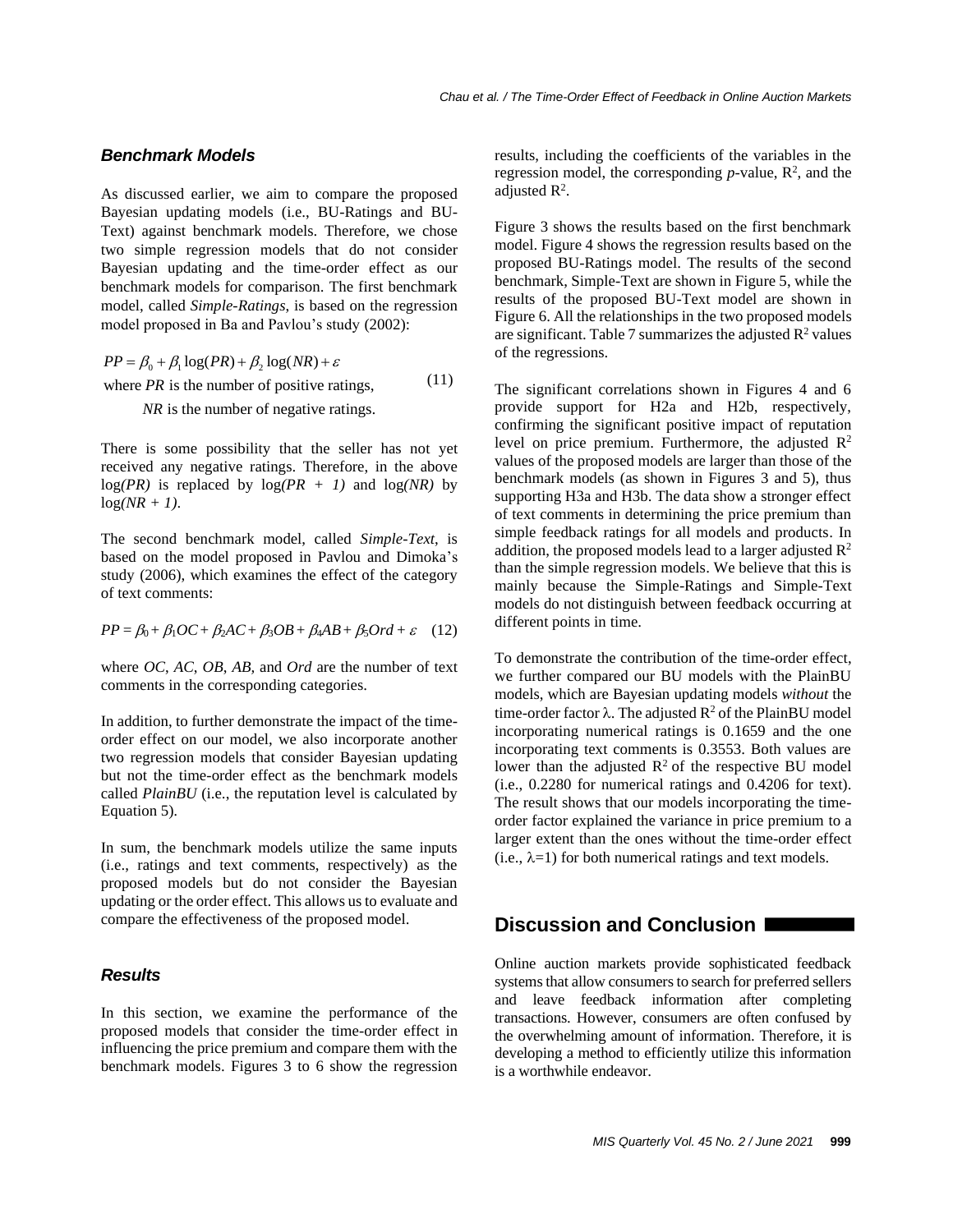#### *Benchmark Models*

As discussed earlier, we aim to compare the proposed Bayesian updating models (i.e., BU-Ratings and BU-Text) against benchmark models. Therefore, we chose two simple regression models that do not consider Bayesian updating and the time-order effect as our benchmark models for comparison. The first benchmark model, called *Simple-Ratings*, is based on the regression model proposed in Ba and Pavlou's study (2002):

 $PP = \beta_0 + \beta_1 \log(PR) + \beta_2 \log(NR) + \varepsilon$ where  $PR$  is the number of positive ratings, *NR* is the number of negative ratings. (11)

There is some possibility that the seller has not yet received any negative ratings. Therefore, in the above  $log(PR)$  is replaced by  $log(PR + 1)$  and  $log(NR)$  by  $log(NR + 1)$ .

The second benchmark model, called *Simple-Text*, is based on the model proposed in Pavlou and Dimoka's study (2006), which examines the effect of the category of text comments:

 $PP = \beta_0 + \beta_1 OC + \beta_2 AC + \beta_3 OB + \beta_4 AB + \beta_5 Ord + \varepsilon$  (12)

where *OC*, *AC*, *OB*, *AB,* and *Ord* are the number of text comments in the corresponding categories.

In addition, to further demonstrate the impact of the timeorder effect on our model, we also incorporate another two regression models that consider Bayesian updating but not the time-order effect as the benchmark models called *PlainBU* (i.e., the reputation level is calculated by Equation 5)*.*

In sum, the benchmark models utilize the same inputs (i.e., ratings and text comments, respectively) as the proposed models but do not consider the Bayesian updating or the order effect. This allows us to evaluate and compare the effectiveness of the proposed model.

## *Results*

In this section, we examine the performance of the proposed models that consider the time-order effect in influencing the price premium and compare them with the benchmark models. Figures 3 to 6 show the regression

results, including the coefficients of the variables in the regression model, the corresponding  $p$ -value,  $\mathbb{R}^2$ , and the adjusted  $\mathbb{R}^2$ .

Figure 3 shows the results based on the first benchmark model. Figure 4 shows the regression results based on the proposed BU-Ratings model. The results of the second benchmark, Simple-Text are shown in Figure 5, while the results of the proposed BU-Text model are shown in Figure 6. All the relationships in the two proposed models are significant. Table 7 summarizes the adjusted  $\mathbb{R}^2$  values of the regressions.

The significant correlations shown in Figures 4 and 6 provide support for H2a and H2b, respectively, confirming the significant positive impact of reputation level on price premium. Furthermore, the adjusted  $\mathbb{R}^2$ values of the proposed models are larger than those of the benchmark models (as shown in Figures 3 and 5), thus supporting H3a and H3b. The data show a stronger effect of text comments in determining the price premium than simple feedback ratings for all models and products. In addition, the proposed models lead to a larger adjusted  $\mathbb{R}^2$ than the simple regression models. We believe that this is mainly because the Simple-Ratings and Simple-Text models do not distinguish between feedback occurring at different points in time.

To demonstrate the contribution of the time-order effect, we further compared our BU models with the PlainBU models, which are Bayesian updating models *without* the time-order factor  $\lambda$ . The adjusted  $\mathbb{R}^2$  of the PlainBU model incorporating numerical ratings is 0.1659 and the one incorporating text comments is 0.3553. Both values are lower than the adjusted  $\mathbb{R}^2$  of the respective BU model (i.e., 0.2280 for numerical ratings and 0.4206 for text). The result shows that our models incorporating the timeorder factor explained the variance in price premium to a larger extent than the ones without the time-order effect  $(i.e., \lambda=1)$  for both numerical ratings and text models.

# **Discussion and Conclusion**

Online auction markets provide sophisticated feedback systems that allow consumers to search for preferred sellers and leave feedback information after completing transactions. However, consumers are often confused by the overwhelming amount of information. Therefore, it is developing a method to efficiently utilize this information is a worthwhile endeavor.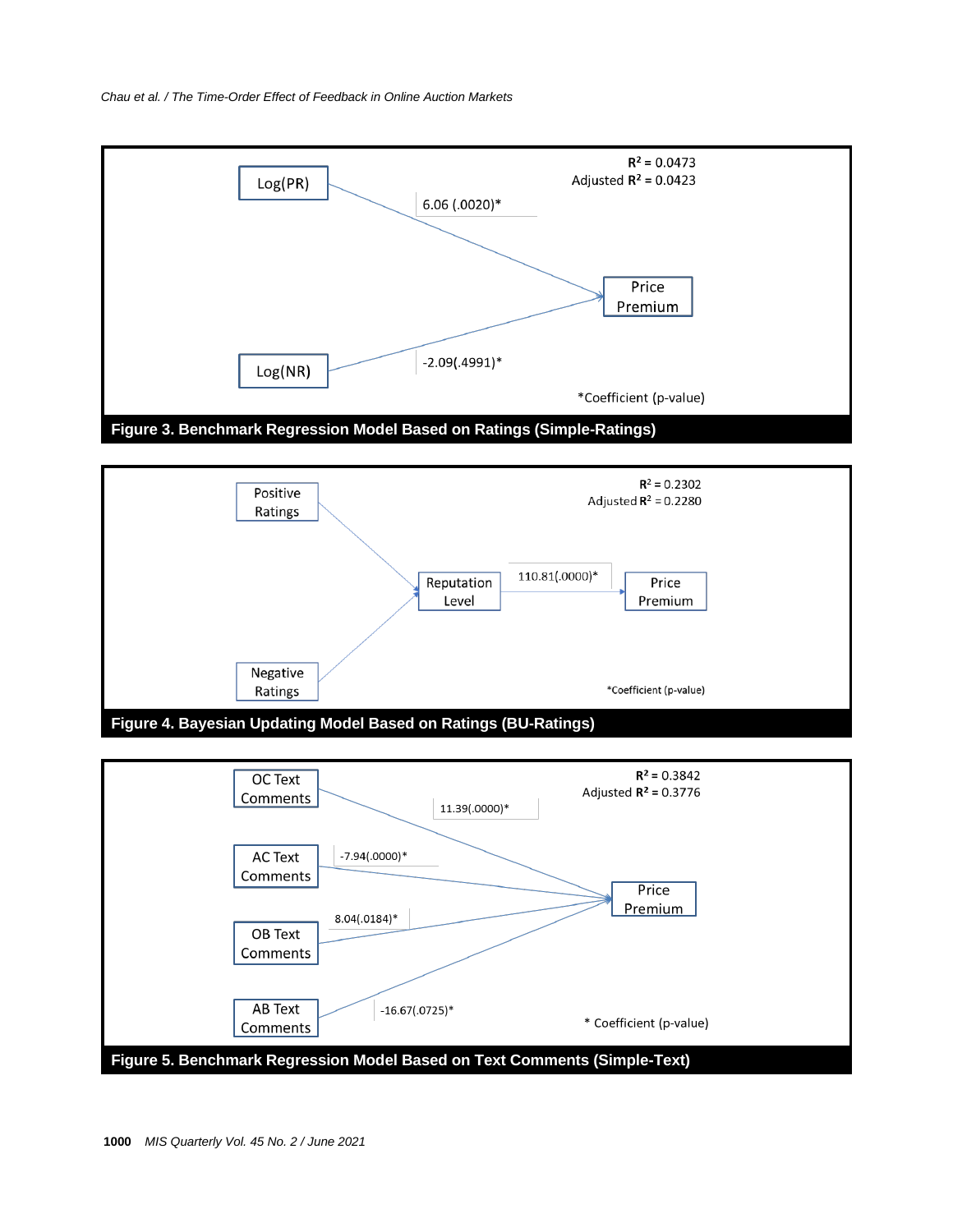



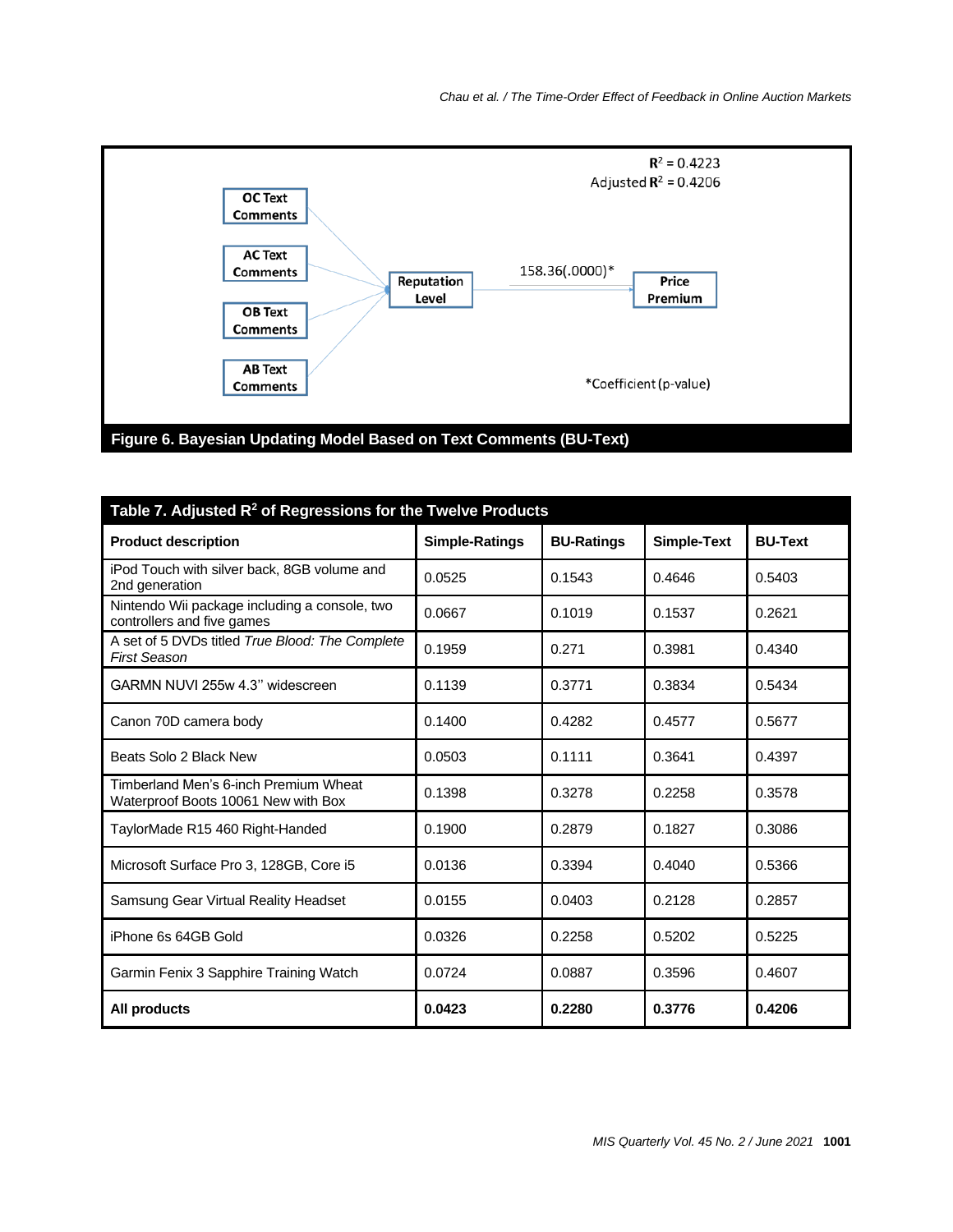

| Table 7. Adjusted $R^2$ of Regressions for the Twelve Products               |                       |                   |             |                |  |
|------------------------------------------------------------------------------|-----------------------|-------------------|-------------|----------------|--|
| <b>Product description</b>                                                   | <b>Simple-Ratings</b> | <b>BU-Ratings</b> | Simple-Text | <b>BU-Text</b> |  |
| iPod Touch with silver back, 8GB volume and<br>2nd generation                | 0.0525                | 0.1543            | 0.4646      | 0.5403         |  |
| Nintendo Wii package including a console, two<br>controllers and five games  | 0.0667                | 0.1019            | 0.1537      | 0.2621         |  |
| A set of 5 DVDs titled True Blood: The Complete<br><b>First Season</b>       | 0.1959                | 0.271             | 0.3981      | 0.4340         |  |
| GARMN NUVI 255w 4.3" widescreen                                              | 0.1139                | 0.3771            | 0.3834      | 0.5434         |  |
| Canon 70D camera body                                                        | 0.1400                | 0.4282            | 0.4577      | 0.5677         |  |
| Beats Solo 2 Black New                                                       | 0.0503                | 0.1111            | 0.3641      | 0.4397         |  |
| Timberland Men's 6-inch Premium Wheat<br>Waterproof Boots 10061 New with Box | 0.1398                | 0.3278            | 0.2258      | 0.3578         |  |
| TaylorMade R15 460 Right-Handed                                              | 0.1900                | 0.2879            | 0.1827      | 0.3086         |  |
| Microsoft Surface Pro 3, 128GB, Core i5                                      | 0.0136                | 0.3394            | 0.4040      | 0.5366         |  |
| Samsung Gear Virtual Reality Headset                                         | 0.0155                | 0.0403            | 0.2128      | 0.2857         |  |
| iPhone 6s 64GB Gold                                                          | 0.0326                | 0.2258            | 0.5202      | 0.5225         |  |
| Garmin Fenix 3 Sapphire Training Watch                                       | 0.0724                | 0.0887            | 0.3596      | 0.4607         |  |
| All products                                                                 | 0.0423                | 0.2280            | 0.3776      | 0.4206         |  |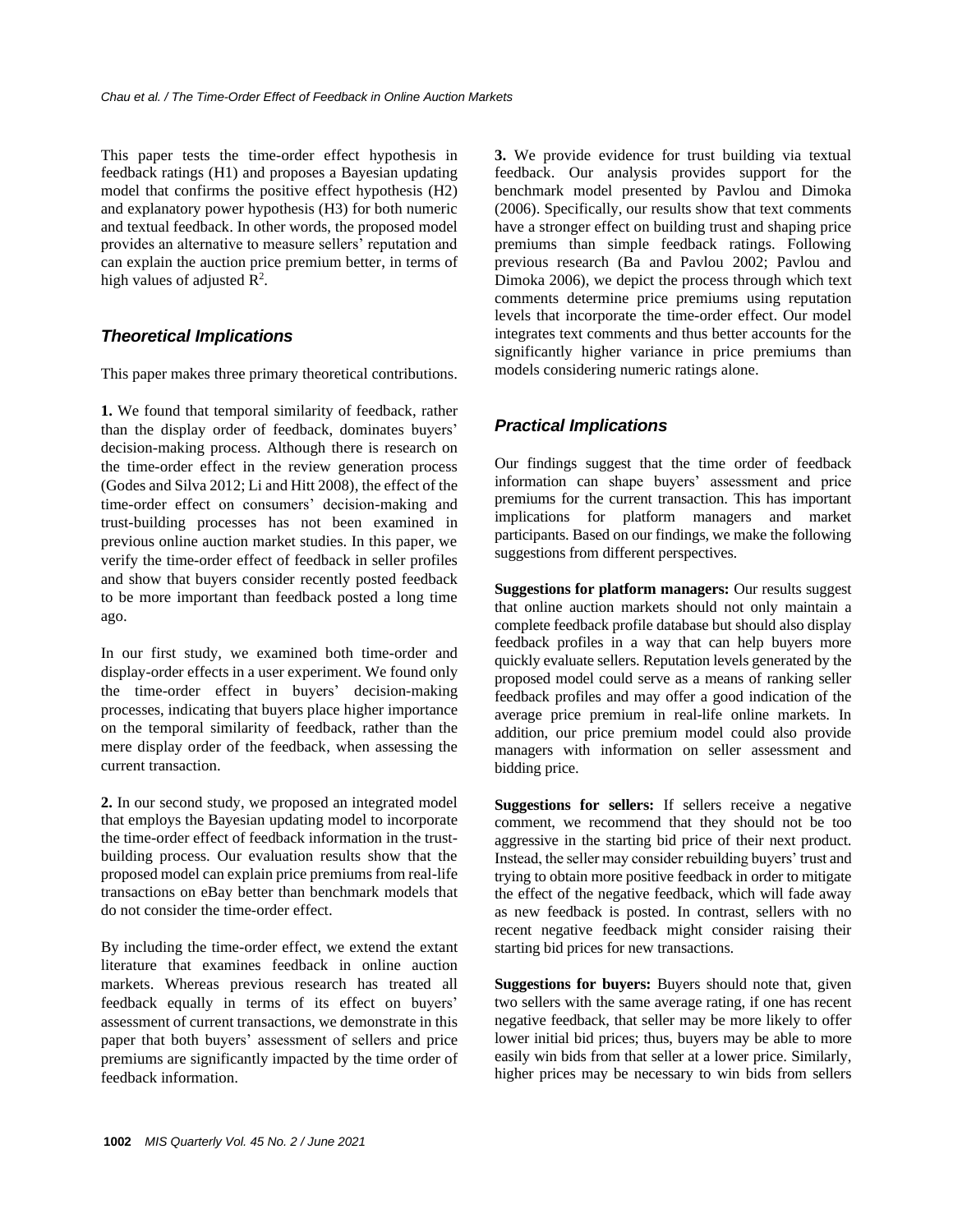This paper tests the time-order effect hypothesis in feedback ratings (H1) and proposes a Bayesian updating model that confirms the positive effect hypothesis (H2) and explanatory power hypothesis (H3) for both numeric and textual feedback. In other words, the proposed model provides an alternative to measure sellers' reputation and can explain the auction price premium better, in terms of high values of adjusted  $\mathbb{R}^2$ .

#### *Theoretical Implications*

This paper makes three primary theoretical contributions.

**1.** We found that temporal similarity of feedback, rather than the display order of feedback, dominates buyers' decision-making process. Although there is research on the time-order effect in the review generation process (Godes and Silva 2012; Li and Hitt 2008), the effect of the time-order effect on consumers' decision-making and trust-building processes has not been examined in previous online auction market studies. In this paper, we verify the time-order effect of feedback in seller profiles and show that buyers consider recently posted feedback to be more important than feedback posted a long time ago.

In our first study, we examined both time-order and display-order effects in a user experiment. We found only the time-order effect in buyers' decision-making processes, indicating that buyers place higher importance on the temporal similarity of feedback, rather than the mere display order of the feedback, when assessing the current transaction.

**2.** In our second study, we proposed an integrated model that employs the Bayesian updating model to incorporate the time-order effect of feedback information in the trustbuilding process. Our evaluation results show that the proposed model can explain price premiums from real-life transactions on eBay better than benchmark models that do not consider the time-order effect.

By including the time-order effect, we extend the extant literature that examines feedback in online auction markets. Whereas previous research has treated all feedback equally in terms of its effect on buyers' assessment of current transactions, we demonstrate in this paper that both buyers' assessment of sellers and price premiums are significantly impacted by the time order of feedback information.

**3.** We provide evidence for trust building via textual feedback. Our analysis provides support for the benchmark model presented by Pavlou and Dimoka (2006). Specifically, our results show that text comments have a stronger effect on building trust and shaping price premiums than simple feedback ratings. Following previous research (Ba and Pavlou 2002; Pavlou and Dimoka 2006), we depict the process through which text comments determine price premiums using reputation levels that incorporate the time-order effect. Our model integrates text comments and thus better accounts for the significantly higher variance in price premiums than models considering numeric ratings alone.

## *Practical Implications*

Our findings suggest that the time order of feedback information can shape buyers' assessment and price premiums for the current transaction. This has important implications for platform managers and market participants. Based on our findings, we make the following suggestions from different perspectives.

**Suggestions for platform managers:** Our results suggest that online auction markets should not only maintain a complete feedback profile database but should also display feedback profiles in a way that can help buyers more quickly evaluate sellers. Reputation levels generated by the proposed model could serve as a means of ranking seller feedback profiles and may offer a good indication of the average price premium in real-life online markets. In addition, our price premium model could also provide managers with information on seller assessment and bidding price.

**Suggestions for sellers:** If sellers receive a negative comment, we recommend that they should not be too aggressive in the starting bid price of their next product. Instead, the seller may consider rebuilding buyers' trust and trying to obtain more positive feedback in order to mitigate the effect of the negative feedback, which will fade away as new feedback is posted. In contrast, sellers with no recent negative feedback might consider raising their starting bid prices for new transactions.

**Suggestions for buyers:** Buyers should note that, given two sellers with the same average rating, if one has recent negative feedback, that seller may be more likely to offer lower initial bid prices; thus, buyers may be able to more easily win bids from that seller at a lower price. Similarly, higher prices may be necessary to win bids from sellers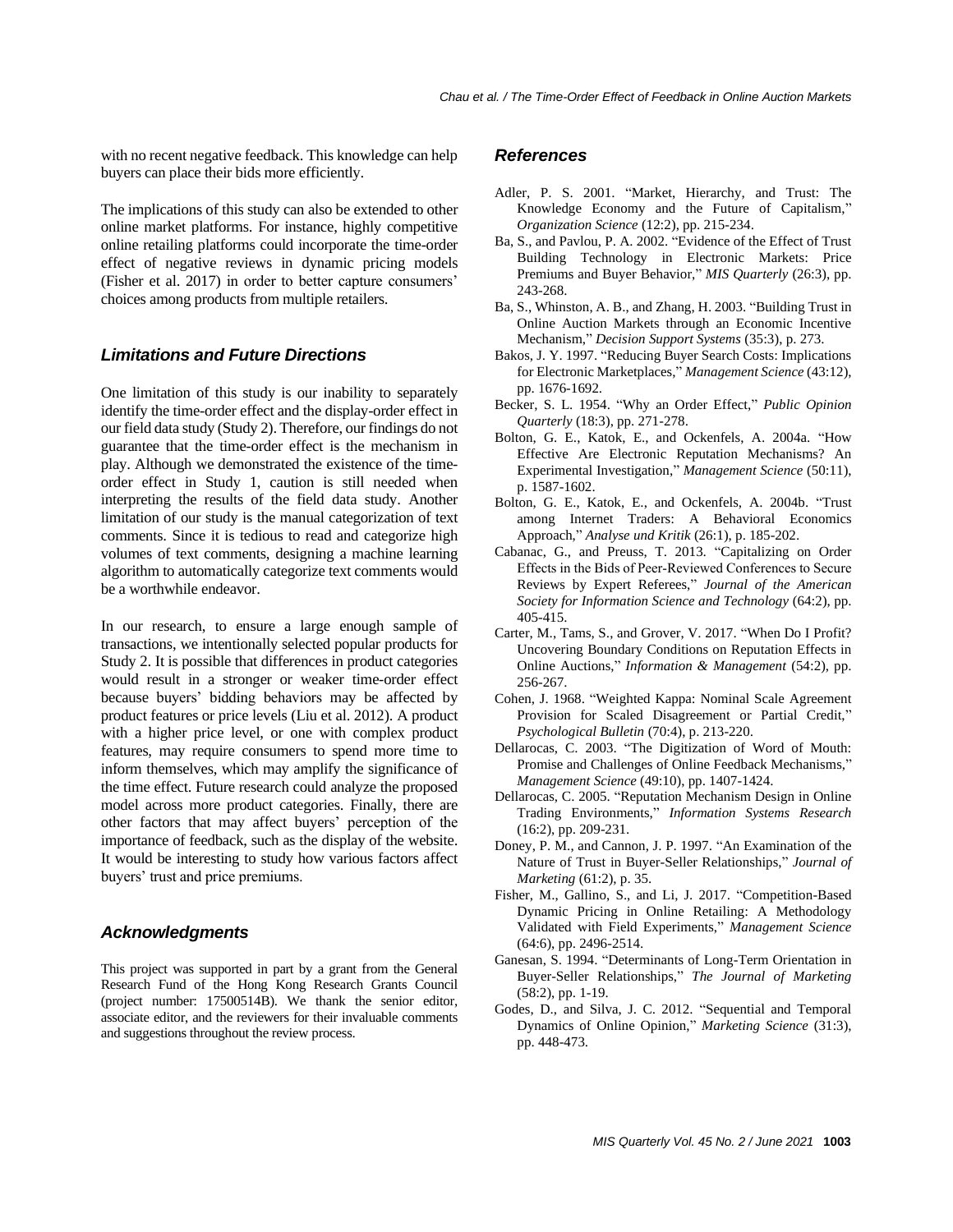with no recent negative feedback. This knowledge can help buyers can place their bids more efficiently.

The implications of this study can also be extended to other online market platforms. For instance, highly competitive online retailing platforms could incorporate the time-order effect of negative reviews in dynamic pricing models (Fisher et al. 2017) in order to better capture consumers' choices among products from multiple retailers.

#### *Limitations and Future Directions*

One limitation of this study is our inability to separately identify the time-order effect and the display-order effect in our field data study (Study 2). Therefore, our findings do not guarantee that the time-order effect is the mechanism in play. Although we demonstrated the existence of the timeorder effect in Study 1, caution is still needed when interpreting the results of the field data study. Another limitation of our study is the manual categorization of text comments. Since it is tedious to read and categorize high volumes of text comments, designing a machine learning algorithm to automatically categorize text comments would be a worthwhile endeavor.

In our research, to ensure a large enough sample of transactions, we intentionally selected popular products for Study 2. It is possible that differences in product categories would result in a stronger or weaker time-order effect because buyers' bidding behaviors may be affected by product features or price levels (Liu et al. 2012). A product with a higher price level, or one with complex product features, may require consumers to spend more time to inform themselves, which may amplify the significance of the time effect. Future research could analyze the proposed model across more product categories. Finally, there are other factors that may affect buyers' perception of the importance of feedback, such as the display of the website. It would be interesting to study how various factors affect buyers' trust and price premiums.

#### *Acknowledgments*

This project was supported in part by a grant from the General Research Fund of the Hong Kong Research Grants Council (project number: 17500514B). We thank the senior editor, associate editor, and the reviewers for their invaluable comments and suggestions throughout the review process.

#### *References*

- Adler, P. S. 2001. "Market, Hierarchy, and Trust: The Knowledge Economy and the Future of Capitalism," *Organization Science* (12:2), pp. 215-234.
- Ba, S., and Pavlou, P. A. 2002. "Evidence of the Effect of Trust Building Technology in Electronic Markets: Price Premiums and Buyer Behavior," *MIS Quarterly* (26:3), pp. 243-268.
- Ba, S., Whinston, A. B., and Zhang, H. 2003. "Building Trust in Online Auction Markets through an Economic Incentive Mechanism," *Decision Support Systems* (35:3), p. 273.
- Bakos, J. Y. 1997. "Reducing Buyer Search Costs: Implications for Electronic Marketplaces," *Management Science* (43:12), pp. 1676-1692.
- Becker, S. L. 1954. "Why an Order Effect," *Public Opinion Quarterly* (18:3), pp. 271-278.
- Bolton, G. E., Katok, E., and Ockenfels, A. 2004a. "How Effective Are Electronic Reputation Mechanisms? An Experimental Investigation," *Management Science* (50:11), p. 1587-1602.
- Bolton, G. E., Katok, E., and Ockenfels, A. 2004b. "Trust among Internet Traders: A Behavioral Economics Approach," *Analyse und Kritik* (26:1), p. 185-202.
- Cabanac, G., and Preuss, T. 2013. "Capitalizing on Order Effects in the Bids of Peer‐Reviewed Conferences to Secure Reviews by Expert Referees," *Journal of the American Society for Information Science and Technology* (64:2), pp. 405-415.
- Carter, M., Tams, S., and Grover, V. 2017. "When Do I Profit? Uncovering Boundary Conditions on Reputation Effects in Online Auctions," *Information & Management* (54:2), pp. 256-267.
- Cohen, J. 1968. "Weighted Kappa: Nominal Scale Agreement Provision for Scaled Disagreement or Partial Credit," *Psychological Bulletin* (70:4), p. 213-220.
- Dellarocas, C. 2003. "The Digitization of Word of Mouth: Promise and Challenges of Online Feedback Mechanisms," *Management Science* (49:10), pp. 1407-1424.
- Dellarocas, C. 2005. "Reputation Mechanism Design in Online Trading Environments," *Information Systems Research* (16:2), pp. 209-231.
- Doney, P. M., and Cannon, J. P. 1997. "An Examination of the Nature of Trust in Buyer-Seller Relationships," *Journal of Marketing* (61:2), p. 35.
- Fisher, M., Gallino, S., and Li, J. 2017. "Competition-Based Dynamic Pricing in Online Retailing: A Methodology Validated with Field Experiments," *Management Science* (64:6), pp. 2496-2514.
- Ganesan, S. 1994. "Determinants of Long-Term Orientation in Buyer-Seller Relationships," *The Journal of Marketing* (58:2), pp. 1-19.
- Godes, D., and Silva, J. C. 2012. "Sequential and Temporal Dynamics of Online Opinion," *Marketing Science* (31:3), pp. 448-473.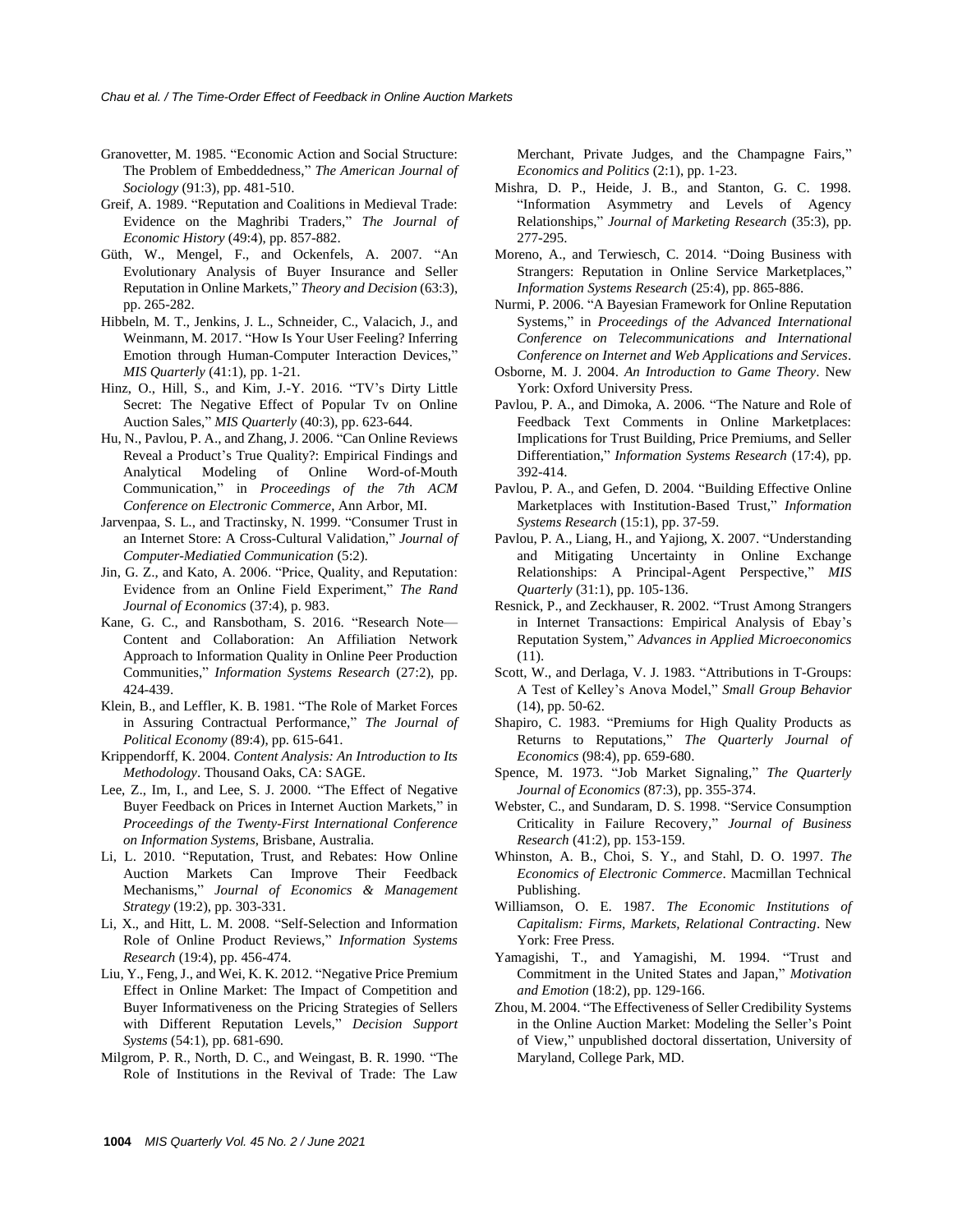- Granovetter, M. 1985. "Economic Action and Social Structure: The Problem of Embeddedness," *The American Journal of Sociology* (91:3), pp. 481-510.
- Greif, A. 1989. "Reputation and Coalitions in Medieval Trade: Evidence on the Maghribi Traders," *The Journal of Economic History* (49:4), pp. 857-882.
- Güth, W., Mengel, F., and Ockenfels, A. 2007. "An Evolutionary Analysis of Buyer Insurance and Seller Reputation in Online Markets," *Theory and Decision* (63:3), pp. 265-282.
- Hibbeln, M. T., Jenkins, J. L., Schneider, C., Valacich, J., and Weinmann, M. 2017. "How Is Your User Feeling? Inferring Emotion through Human-Computer Interaction Devices," *MIS Quarterly* (41:1), pp. 1-21.
- Hinz, O., Hill, S., and Kim, J.-Y. 2016. "TV's Dirty Little Secret: The Negative Effect of Popular Tv on Online Auction Sales," *MIS Quarterly* (40:3), pp. 623-644.
- Hu, N., Pavlou, P. A., and Zhang, J. 2006. "Can Online Reviews Reveal a Product's True Quality?: Empirical Findings and Analytical Modeling of Online Word-of-Mouth Communication," in *Proceedings of the 7th ACM Conference on Electronic Commerce*, Ann Arbor, MI.
- Jarvenpaa, S. L., and Tractinsky, N. 1999. "Consumer Trust in an Internet Store: A Cross-Cultural Validation," *Journal of Computer-Mediatied Communication* (5:2).
- Jin, G. Z., and Kato, A. 2006. "Price, Quality, and Reputation: Evidence from an Online Field Experiment," *The Rand Journal of Economics* (37:4), p. 983.
- Kane, G. C., and Ransbotham, S. 2016. "Research Note— Content and Collaboration: An Affiliation Network Approach to Information Quality in Online Peer Production Communities," *Information Systems Research* (27:2), pp. 424-439.
- Klein, B., and Leffler, K. B. 1981. "The Role of Market Forces in Assuring Contractual Performance," *The Journal of Political Economy* (89:4), pp. 615-641.
- Krippendorff, K. 2004. *Content Analysis: An Introduction to Its Methodology*. Thousand Oaks, CA: SAGE.
- Lee, Z., Im, I., and Lee, S. J. 2000. "The Effect of Negative Buyer Feedback on Prices in Internet Auction Markets," in *Proceedings of the Twenty-First International Conference on Information Systems*, Brisbane, Australia.
- Li, L. 2010. "Reputation, Trust, and Rebates: How Online Auction Markets Can Improve Their Feedback Mechanisms," *Journal of Economics & Management Strategy* (19:2), pp. 303-331.
- Li, X., and Hitt, L. M. 2008. "Self-Selection and Information Role of Online Product Reviews," *Information Systems Research* (19:4), pp. 456-474.
- Liu, Y., Feng, J., and Wei, K. K. 2012. "Negative Price Premium Effect in Online Market: The Impact of Competition and Buyer Informativeness on the Pricing Strategies of Sellers with Different Reputation Levels," *Decision Support Systems* (54:1), pp. 681-690.
- Milgrom, P. R., North, D. C., and Weingast, B. R. 1990. "The Role of Institutions in the Revival of Trade: The Law

Merchant, Private Judges, and the Champagne Fairs," *Economics and Politics* (2:1), pp. 1-23.

- Mishra, D. P., Heide, J. B., and Stanton, G. C. 1998. "Information Asymmetry and Levels of Agency Relationships," *Journal of Marketing Research* (35:3), pp. 277-295.
- Moreno, A., and Terwiesch, C. 2014. "Doing Business with Strangers: Reputation in Online Service Marketplaces," *Information Systems Research* (25:4), pp. 865-886.
- Nurmi, P. 2006. "A Bayesian Framework for Online Reputation Systems," in *Proceedings of the Advanced International Conference on Telecommunications and International Conference on Internet and Web Applications and Services*.
- Osborne, M. J. 2004. *An Introduction to Game Theory*. New York: Oxford University Press.
- Pavlou, P. A., and Dimoka, A. 2006. "The Nature and Role of Feedback Text Comments in Online Marketplaces: Implications for Trust Building, Price Premiums, and Seller Differentiation," *Information Systems Research* (17:4), pp. 392-414.
- Pavlou, P. A., and Gefen, D. 2004. "Building Effective Online Marketplaces with Institution-Based Trust," *Information Systems Research* (15:1), pp. 37-59.
- Pavlou, P. A., Liang, H., and Yajiong, X. 2007. "Understanding and Mitigating Uncertainty in Online Exchange Relationships: A Principal-Agent Perspective," *MIS Quarterly* (31:1), pp. 105-136.
- Resnick, P., and Zeckhauser, R. 2002. "Trust Among Strangers in Internet Transactions: Empirical Analysis of Ebay's Reputation System," *Advances in Applied Microeconomics* (11).
- Scott, W., and Derlaga, V. J. 1983. "Attributions in T-Groups: A Test of Kelley's Anova Model," *Small Group Behavior* (14), pp. 50-62.
- Shapiro, C. 1983. "Premiums for High Quality Products as Returns to Reputations," *The Quarterly Journal of Economics* (98:4), pp. 659-680.
- Spence, M. 1973. "Job Market Signaling," *The Quarterly Journal of Economics* (87:3), pp. 355-374.
- Webster, C., and Sundaram, D. S. 1998. "Service Consumption Criticality in Failure Recovery," *Journal of Business Research* (41:2), pp. 153-159.
- Whinston, A. B., Choi, S. Y., and Stahl, D. O. 1997. *The Economics of Electronic Commerce*. Macmillan Technical Publishing.
- Williamson, O. E. 1987. *The Economic Institutions of Capitalism: Firms, Markets, Relational Contracting*. New York: Free Press.
- Yamagishi, T., and Yamagishi, M. 1994. "Trust and Commitment in the United States and Japan," *Motivation and Emotion* (18:2), pp. 129-166.
- Zhou, M. 2004. "The Effectiveness of Seller Credibility Systems in the Online Auction Market: Modeling the Seller's Point of View," unpublished doctoral dissertation, University of Maryland, College Park, MD.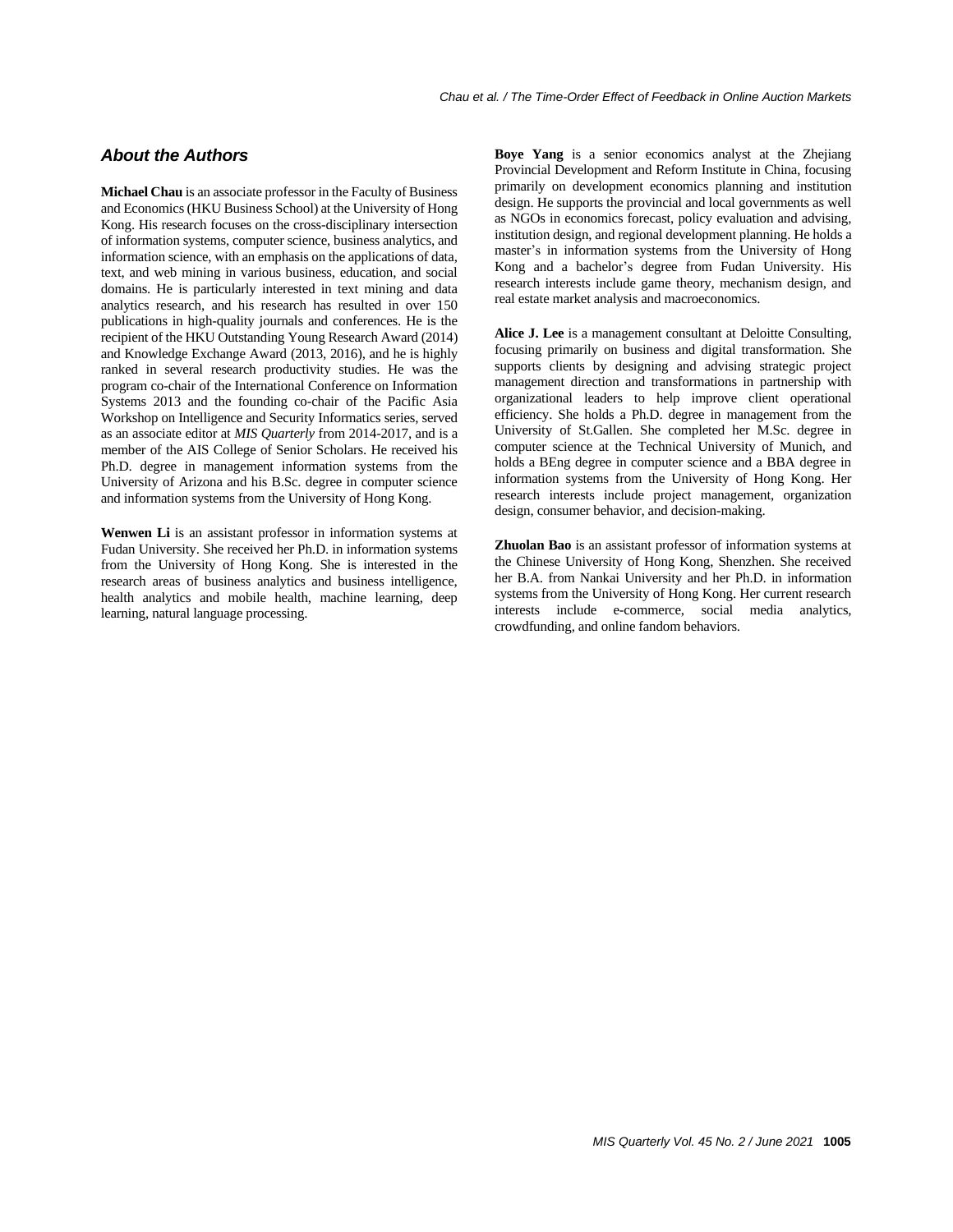## *About the Authors*

**Michael Chau** is an associate professor in the Faculty of Business and Economics (HKU Business School) at the University of Hong Kong. His research focuses on the cross-disciplinary intersection of information systems, computer science, business analytics, and information science, with an emphasis on the applications of data, text, and web mining in various business, education, and social domains. He is particularly interested in text mining and data analytics research, and his research has resulted in over 150 publications in high-quality journals and conferences. He is the recipient of the HKU Outstanding Young Research Award (2014) and Knowledge Exchange Award (2013, 2016), and he is highly ranked in several research productivity studies. He was the program co-chair of the International Conference on Information Systems 2013 and the founding co-chair of the Pacific Asia Workshop on Intelligence and Security Informatics series, served as an associate editor at *MIS Quarterly* from 2014-2017, and is a member of the AIS College of Senior Scholars. He received his Ph.D. degree in management information systems from the University of Arizona and his B.Sc. degree in computer science and information systems from the University of Hong Kong.

**Wenwen Li** is an assistant professor in information systems at Fudan University. She received her Ph.D. in information systems from the University of Hong Kong. She is interested in the research areas of business analytics and business intelligence, health analytics and mobile health, machine learning, deep learning, natural language processing.

**Boye Yang** is a senior economics analyst at the Zhejiang Provincial Development and Reform Institute in China, focusing primarily on development economics planning and institution design. He supports the provincial and local governments as well as NGOs in economics forecast, policy evaluation and advising, institution design, and regional development planning. He holds a master's in information systems from the University of Hong Kong and a bachelor's degree from Fudan University. His research interests include game theory, mechanism design, and real estate market analysis and macroeconomics.

**Alice J. Lee** is a management consultant at Deloitte Consulting, focusing primarily on business and digital transformation. She supports clients by designing and advising strategic project management direction and transformations in partnership with organizational leaders to help improve client operational efficiency. She holds a Ph.D. degree in management from the University of St.Gallen. She completed her M.Sc. degree in computer science at the Technical University of Munich, and holds a BEng degree in computer science and a BBA degree in information systems from the University of Hong Kong. Her research interests include project management, organization design, consumer behavior, and decision-making.

**Zhuolan Bao** is an assistant professor of information systems at the Chinese University of Hong Kong, Shenzhen. She received her B.A. from Nankai University and her Ph.D. in information systems from the University of Hong Kong. Her current research interests include e-commerce, social media analytics, crowdfunding, and online fandom behaviors.